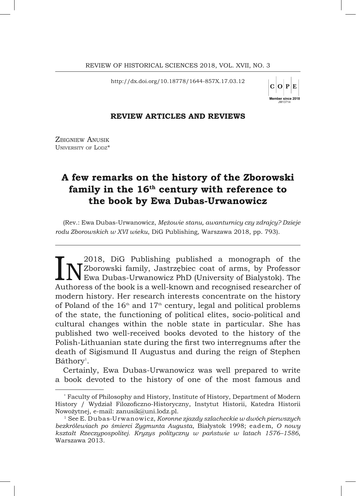http://dx.doi.org/10.18778/1644-857X.17.03.12

 $C|O|P$ lember since 2018

## **REVIEW ARTICLES AND REVIEWS**

ZBIGNIEW ANUSIK UNIVERSITY OF LODZ\*

# **A few remarks on the history of the Zborowski family in the 16th century with reference to the book by Ewa Dubas-Urwanowicz**

(Rev.: Ewa Dubas-Urwanowicz, *Mężowie stanu, awanturnicy czy zdrajcy? Dzieje rodu Zborowskich w XVI wieku*, DiG Publishing, Warszawa 2018, pp. 793).

**IN** 2018, DiG Publishing published a monograph of the N<sup>2018</sup>, Dig Professor Ewa Dubas-Urwanowicz PhD (University of Bialystok). The Authoress of the book is a well-known and recognised researcher of 2018, DiG Publishing published a monograph of the Zborowski family, Jastrzębiec coat of arms, by Professor  ${\sf L}\,{\bf V}$  Ewa Dubas-Urwanowicz PhD (University of Bialystok). The modern history. Her research interests concentrate on the history of Poland of the  $16<sup>th</sup>$  and  $17<sup>th</sup>$  century, legal and political problems of the state, the functioning of political elites, socio-political and cultural changes within the noble state in particular. She has published two well-received books devoted to the history of the Polish-Lithuanian state during the first two interregnums after the death of Sigismund II Augustus and during the reign of Stephen Báthory<sup>1</sup>.

Certainly, Ewa Dubas-Urwanowicz was well prepared to write a book devoted to the history of one of the most famous and

<sup>\*</sup> Faculty of Philosophy and History, Institute of History, Department of Modern History / Wydział Filozoficzno-Historyczny, Instytut Historii, Katedra Historii Nowożytnej, e-mail: zanusik@uni.lodz.pl.

<sup>1</sup> See E. Dubas-Urwanowicz, *Koronne zjazdy szlacheckie w dwóch pierwszych bezkrólewiach po śmierci Zygmunta Augusta*, Białystok 1998; eadem, *O nowy kształt Rzeczypospolitej. Kryzys polityczny w państwie w latach 1576–1586*, Warszawa 2013.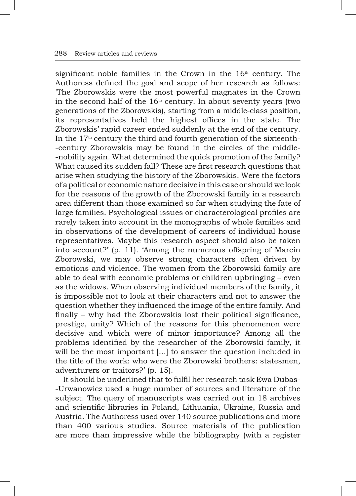significant noble families in the Crown in the  $16<sup>th</sup>$  century. The Authoress defined the goal and scope of her research as follows: 'The Zborowskis were the most powerful magnates in the Crown in the second half of the  $16<sup>th</sup>$  century. In about seventy years (two generations of the Zborowskis), starting from a middle-class position, its representatives held the highest offices in the state. The Zborowskis' rapid career ended suddenly at the end of the century. In the  $17<sup>th</sup>$  century the third and fourth generation of the sixteenth--century Zborowskis may be found in the circles of the middle- -nobility again. What determined the quick promotion of the family? What caused its sudden fall? These are first research questions that arise when studying the history of the Zborowskis. Were the factors of apolitical or economic nature decisive in this case or should we look for the reasons of the growth of the Zborowski family in a research area different than those examined so far when studying the fate of large families. Psychological issues or characterological profiles are rarely taken into account in the monographs of whole families and in observations of the development of careers of individual house representatives. Maybe this research aspect should also be taken into account?' (p. 11). 'Among the numerous offspring of Marcin Zborowski, we may observe strong characters often driven by emotions and violence. The women from the Zborowski family are able to deal with economic problems or children upbringing – even as the widows. When observing individual members of the family, it is impossible not to look at their characters and not to answer the question whether they influenced the image of the entire family. And finally – why had the Zborowskis lost their political significance, prestige, unity? Which of the reasons for this phenomenon were decisive and which were of minor importance? Among all the problems identified by the researcher of the Zborowski family, it will be the most important [...] to answer the question included in the title of the work: who were the Zborowski brothers: statesmen, adventurers or traitors?' (p. 15).

It should be underlined that to fulfil her research task Ewa Dubas- -Urwanowicz used a huge number of sources and literature of the subject. The query of manuscripts was carried out in 18 archives and scientific libraries in Poland, Lithuania, Ukraine, Russia and Austria. The Authoress used over 140 source publications and more than 400 various studies. Source materials of the publication are more than impressive while the bibliography (with a register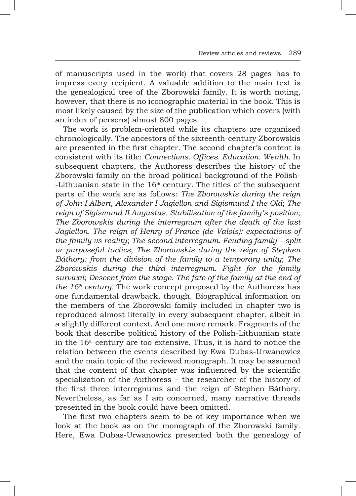of manuscripts used in the work) that covers 28 pages has to impress every recipient. A valuable addition to the main text is the genealogical tree of the Zborowski family. It is worth noting, however, that there is no iconographic material in the book. This is most likely caused by the size of the publication which covers (with an index of persons) almost 800 pages.

The work is problem-oriented while its chapters are organised chronologically. The ancestors of the sixteenth-century Zborowskis are presented in the first chapter. The second chapter's content is consistent with its title: *Connections. Offices. Education. Wealth.* In subsequent chapters, the Authoress describes the history of the Zborowski family on the broad political background of the Polish-  $-Lithuanian state$  in the  $16<sup>th</sup>$  century. The titles of the subsequent parts of the work are as follows: *The Zborowskis during the reign of John I Albert, Alexander I Jagiellon and Sigismund I the Old*; *The reign of Sigismund II Augustus. Stabilisation of the family's position*; *The Zborowskis during the interregnum after the death of the last Jagiellon. The reign of Henry of France (de Valois): expectations of the family vs reality*; *The second interregnum. Feuding family – split or purposeful tactics*; *The Zborowskis during the reign of Stephen Báthory: from the division of the family to a temporary unity*; *The Zborowskis during the third interregnum. Fight for the family survival*; *Descent from the stage. The fate of the family at the end of the 16th century.* The work concept proposed by the Authoress has one fundamental drawback, though. Biographical information on the members of the Zborowski family included in chapter two is reproduced almost literally in every subsequent chapter, albeit in a slightly different context. And one more remark. Fragments of the book that describe political history of the Polish-Lithuanian state in the  $16<sup>th</sup>$  century are too extensive. Thus, it is hard to notice the relation between the events described by Ewa Dubas-Urwanowicz and the main topic of the reviewed monograph. It may be assumed that the content of that chapter was influenced by the scientific specialization of the Authoress – the researcher of the history of the first three interregnums and the reign of Stephen Báthory. Nevertheless, as far as I am concerned, many narrative threads presented in the book could have been omitted.

The first two chapters seem to be of key importance when we look at the book as on the monograph of the Zborowski family. Here, Ewa Dubas-Urwanowicz presented both the genealogy of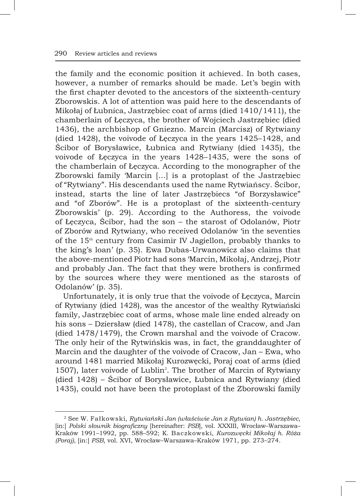the family and the economic position it achieved. In both cases, however, a number of remarks should be made. Let's begin with the first chapter devoted to the ancestors of the sixteenth-century Zborowskis. A lot of attention was paid here to the descendants of Mikołaj of Łubnica, Jastrzębiec coat of arms (died 1410/1411), the chamberlain of Łęczyca, the brother of Wojciech Jastrzębiec (died 1436), the archbishop of Gniezno. Marcin (Marcisz) of Rytwiany (died 1428), the voivode of Łęczyca in the years 1425–1428, and Ścibor of Borysławice, Łubnica and Rytwiany (died 1435), the voivode of Łeczyca in the years 1428–1435, were the sons of the chamberlain of *Leczyca*. According to the monographer of the Zborowski family 'Marcin […] is a protoplast of the Jastrzębiec of "Rytwiany". His descendants used the name Rytwiańscy. Ścibor, instead, starts the line of later Jastrzębiecs "of Borzysławice" and "of Zborów". He is a protoplast of the sixteenth-century Zborowskis' (p. 29). According to the Authoress, the voivode of Łęczyca, Ścibor, had the son – the starost of Odolanów, Piotr of Zborów and Rytwiany, who received Odolanów 'in the seventies of the  $15<sup>th</sup>$  century from Casimir IV Jagiellon, probably thanks to the king's loan' (p. 35). Ewa Dubas-Urwanowicz also claims that the above-mentioned Piotr had sons 'Marcin, Mikołaj, Andrzej, Piotr and probably Jan. The fact that they were brothers is confirmed by the sources where they were mentioned as the starosts of Odolanów' (p. 35).

Unfortunately, it is only true that the voivode of Łęczyca, Marcin of Rytwiany (died 1428), was the ancestor of the wealthy Rytwiański family, Jastrzębiec coat of arms, whose male line ended already on his sons – Dziersław (died 1478), the castellan of Cracow, and Jan (died 1478/1479), the Crown marshal and the voivode of Cracow. The only heir of the Rytwińskis was, in fact, the granddaughter of Marcin and the daughter of the voivode of Cracow, Jan – Ewa, who around 1481 married Mikołaj Kurozwęcki, Poraj coat of arms (died 1507), later voivode of Lublin<sup>2</sup>. The brother of Marcin of Rytwiany (died 1428) – Ścibor of Borysławice, Łubnica and Rytwiany (died 1435), could not have been the protoplast of the Zborowski family

<sup>2</sup> See W. Fałkowski, *Rytwiański Jan (właściwie Jan z Rytwian) h. Jastrzębiec*, [in:] *Polski słownik biograficzny* [hereinafter: *PSB*], vol. XXXIII, Wrocław–Warszawa– Kraków 1991–1992, pp. 588–592; K. Baczkowski, *Kurozwęcki Mikołaj h. Róża (Poraj)*, [in:] *PSB*, vol. XVI, Wrocław–Warszawa–Kraków 1971, pp. 273–274.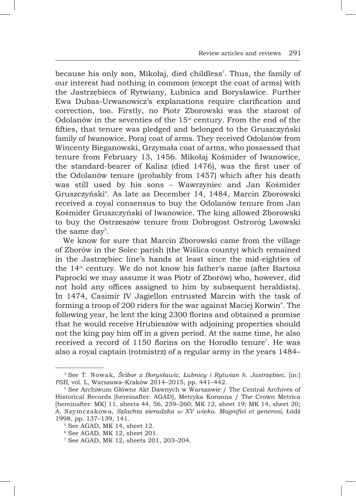because his only son, Mikołaj, died childless<sup>3</sup>. Thus, the family of our interest had nothing in common (except the coat of arms) with the Jastrzębiecs of Rytwiany, Łubnica and Borysławice. Further Ewa Dubas-Urwanowicz's explanations require clarification and correction, too. Firstly, no Piotr Zborowski was the starost of Odolanów in the seventies of the  $15<sup>th</sup>$  century. From the end of the fifties, that tenure was pledged and belonged to the Gruszczyński family of Iwanowice, Poraj coat of arms. They received Odolanów from Wincenty Bieganowski, Grzymała coat of arms, who possessed that tenure from February 13, 1456. Mikołaj Kośmider of Iwanowice, the standard-bearer of Kalisz (died 1476), was the first user of the Odolanów tenure (probably from 1457) which after his death was still used by his sons – Wawrzyniec and Jan Kośmider Gruszczyński<sup>4</sup>. As late as December 14, 1484, Marcin Zborowski received a royal consensus to buy the Odolanów tenure from Jan Kośmider Gruszczyński of Iwanowice. The king allowed Zborowski to buy the Ostrzeszów tenure from Dobrogost Ostroróg Lwowski the same day $5$ .

We know for sure that Marcin Zborowski came from the village of Zborów in the Solec parish (the Wiślica county) which remained in the Jastrzębiec line's hands at least since the mid-eighties of the  $14<sup>th</sup>$  century. We do not know his father's name (after Bartosz Paprocki we may assume it was Piotr of Zborów) who, however, did not hold any offices assigned to him by subsequent heraldists). In 1474, Casimir IV Jagiellon entrusted Marcin with the task of forming a troop of 200 riders for the war against Maciej Korwin $^{\circ}$ . The following year, he lent the king 2300 florins and obtained a promise that he would receive Hrubieszów with adjoining properties should not the king pay him off in a given period. At the same time, he also received a record of 1150 florins on the Horodło tenure<sup>7</sup>. He was also a royal captain (rotmistrz) of a regular army in the years 1484–

<sup>3</sup> See T. Nowak, *Ścibor z Borysławic, Łubnicy i Rytwian h. Jastrzębiec*, [in:] *PSB*, vol. L, Warszawa–Kraków 2014–2015, pp. 441–442.

<sup>4</sup> See Archiwum Główne Akt Dawnych w Warszawie / The Central Archives of Historical Records [hereinafter: AGAD], Metryka Koronna / The Crown Metrica [hereinafter: MK] 11, sheets 44, 56, 259–260; MK 12, sheet 19; MK 14, sheet 20; A. Szymczakowa, *Szlachta sieradzka w XV wieku. Magnifici et generosi*, Łódź 1998, pp. 137–139, 141.

<sup>5</sup> See AGAD, MK 14, sheet 12.

<sup>6</sup> See AGAD, MK 12, sheet 201.

<sup>7</sup> See AGAD, MK 12, sheets 201, 203–204.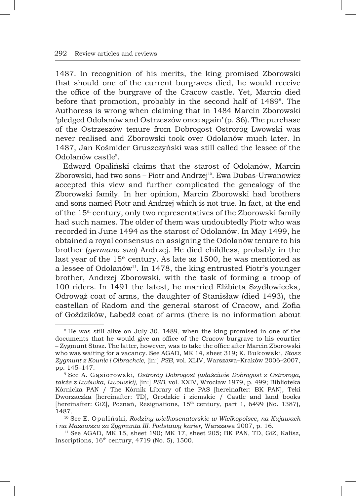1487. In recognition of his merits, the king promised Zborowski that should one of the current burgraves died, he would receive the office of the burgrave of the Cracow castle. Yet, Marcin died before that promotion, probably in the second half of 1489°. The Authoress is wrong when claiming that in 1484 Marcin Zborowski 'pledged Odolanów and Ostrzeszów once again' (p. 36). The purchase of the Ostrzeszów tenure from Dobrogost Ostroróg Lwowski was never realised and Zborowski took over Odolanów much later. In 1487, Jan Kośmider Gruszczyński was still called the lessee of the Odolanów castle<sup>9</sup>.

Edward Opaliński claims that the starost of Odolanów, Marcin Zborowski, had two sons - Piotr and Andrzej<sup>10</sup>. Ewa Dubas-Urwanowicz accepted this view and further complicated the genealogy of the Zborowski family. In her opinion, Marcin Zborowski had brothers and sons named Piotr and Andrzej which is not true. In fact, at the end of the  $15<sup>th</sup>$  century, only two representatives of the Zborowski family had such names. The older of them was undoubtedly Piotr who was recorded in June 1494 as the starost of Odolanów. In May 1499, he obtained a royal consensus on assigning the Odolanów tenure to his brother (*germano suo*) Andrzej. He died childless, probably in the last year of the  $15<sup>th</sup>$  century. As late as 1500, he was mentioned as a lessee of Odolanów<sup>11</sup>. In 1478, the king entrusted Piotr's younger brother, Andrzej Zborowski, with the task of forming a troop of 100 riders. In 1491 the latest, he married Elżbieta Szydłowiecka, Odrowąż coat of arms, the daughter of Stanisław (died 1493), the castellan of Radom and the general starost of Cracow, and Zofia of Goździków, Łabędź coat of arms (there is no information about

<sup>8</sup> He was still alive on July 30, 1489, when the king promised in one of the documents that he would give an office of the Cracow burgrave to his courtier – Zygmunt Stosz. The latter, however, was to take the office after Marcin Zborowski who was waiting for a vacancy. See AGAD, MK 14, sheet 319; K. Bukowski, *Stosz Zygmunt z Kounic i Olbrachcic*, [in:] *PSB*, vol. XLIV, Warszawa–Kraków 2006–2007, pp. 145–147.

<sup>9</sup> See A. Gąsiorowski, *Ostroróg Dobrogost (właściwie Dobrogost z Ostroroga, także z Lwówka, Lwowski)*, [in:] *PSB*, vol. XXIV, Wrocław 1979, p. 499; Biblioteka Kórnicka PAN / The Kórnik Library of the PAS [hereinafter: BK PAN], Teki Dworzaczka [hereinafter: TD], Grodzkie i ziemskie / Castle and land books [hereinafter: GiZ], Poznań, Resignations, 15<sup>th</sup> century, part 1, 6499 (No. 1387), 1487.

<sup>10</sup> See E. Opaliński, *Rodziny wielkosenatorskie w Wielkopolsce, na Kujawach i na Mazowszu za Zygmunta III. Podstawy karier*, Warszawa 2007, p. 16.

<sup>11</sup> See AGAD, MK 15, sheet 190; MK 17, sheet 205; BK PAN, TD, GiZ, Kalisz, Inscriptions,  $16<sup>th</sup>$  century, 4719 (No. 5), 1500.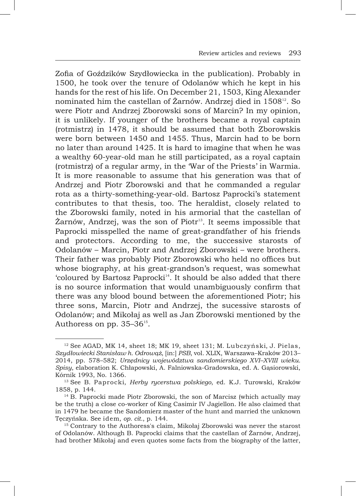Zofia of Goździków Szydłowiecka in the publication). Probably in 1500, he took over the tenure of Odolanów which he kept in his hands for the rest of his life. On December 21, 1503, King Alexander nominated him the castellan of Żarnów. Andrzej died in 1508<sup>12</sup>. So were Piotr and Andrzej Zborowski sons of Marcin? In my opinion, it is unlikely. If younger of the brothers became a royal captain (rotmistrz) in 1478, it should be assumed that both Zborowskis were born between 1450 and 1455. Thus, Marcin had to be born no later than around 1425. It is hard to imagine that when he was a wealthy 60-year-old man he still participated, as a royal captain (rotmistrz) of a regular army, in the 'War of the Priests' in Warmia. It is more reasonable to assume that his generation was that of Andrzej and Piotr Zborowski and that he commanded a regular rota as a thirty-something-year-old. Bartosz Paprocki's statement contributes to that thesis, too. The heraldist, closely related to the Zborowski family, noted in his armorial that the castellan of Żarnów, Andrzej, was the son of Piotr<sup>13</sup>. It seems impossible that Paprocki misspelled the name of great-grandfather of his friends and protectors. According to me, the successive starosts of Odolanów – Marcin, Piotr and Andrzej Zborowski – were brothers. Their father was probably Piotr Zborowski who held no offices but whose biography, at his great-grandson's request, was somewhat 'coloured by Bartosz Paprocki<sup>14</sup>. It should be also added that there is no source information that would unambiguously confirm that there was any blood bound between the aforementioned Piotr; his three sons, Marcin, Piotr and Andrzej, the sucessive starosts of Odolanów; and Mikołaj as well as Jan Zborowski mentioned by the Authoress on pp. 35-36<sup>15</sup>.

<sup>12</sup> See AGAD, MK 14, sheet 18; MK 19, sheet 131; M. Lubczyński, J. Pielas, *Szydłowiecki Stanisław h. Odrowąż*, [in:] *PSB*, vol. XLIX, Warszawa–Kraków 2013– 2014, pp. 578–582; *Urzędnicy województwa sandomierskiego XVI–XVIII wieku. Spisy*, elaboration K. Chłapowski, A. Falniowska-Gradowska, ed. A. Gąsiorowski, Kórnik 1993, No. 1366.

<sup>13</sup> See B. Paprocki, *Herby rycerstwa polskiego*, ed. K.J. Turowski, Kraków 1858, p. 144.

<sup>&</sup>lt;sup>14</sup> B. Paprocki made Piotr Zborowski, the son of Marcisz (which actually may be the truth) a close co-worker of King Casimir IV Jagiellon. He also claimed that in 1479 he became the Sandomierz master of the hunt and married the unknown Tęczyńska. See idem, *op. cit.*, p. 144.

<sup>&</sup>lt;sup>15</sup> Contrary to the Authoress's claim, Mikołaj Zborowski was never the starost of Odolanów. Although B. Paprocki claims that the castellan of Żarnów, Andrzej, had brother Mikołaj and even quotes some facts from the biography of the latter,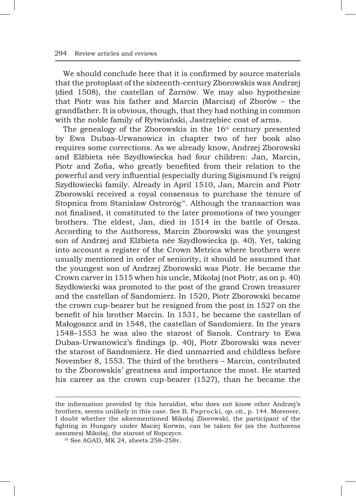We should conclude here that it is confirmed by source materials that the protoplast of the sixteenth-century Zborowskis was Andrzej (died 1508), the castellan of Żarnów. We may also hypothesize that Piotr was his father and Marcin (Marcisz) of Zborów – the grandfather. It is obvious, though, that they had nothing in common with the noble family of Rytwiański, Jastrzębiec coat of arms.

The genealogy of the Zborowskis in the  $16<sup>th</sup>$  century presented by Ewa Dubas-Urwanowicz in chapter two of her book also requires some corrections. As we already know, Andrzej Zborowski and Elżbieta née Szydłowiecka had four children: Jan, Marcin, Piotr and Zofia, who greatly benefited from their relation to the powerful and very influential (especially during Sigismund I's reign) Szydłowiecki family. Already in April 1510, Jan, Marcin and Piotr Zborowski received a royal consensus to purchase the tenure of Stopnica from Stanisław Ostroróg<sup>16</sup>. Although the transaction was not finalised, it constituted to the later promotions of two younger brothers. The eldest, Jan, died in 1514 in the battle of Orsza. According to the Authoress, Marcin Zborowski was the youngest son of Andrzej and Elżbieta née Szydłowiecka (p. 40). Yet, taking into account a register of the Crown Metrica where brothers were usually mentioned in order of seniority, it should be assumed that the youngest son of Andrzej Zborowski was Piotr. He became the Crown carver in 1515 when his uncle, Mikołaj (not Piotr, as on p. 40) Szydłowiecki was promoted to the post of the grand Crown treasurer and the castellan of Sandomierz. In 1520, Piotr Zborowski became the crown cup-bearer but he resigned from the post in 1527 on the benefit of his brother Marcin. In 1531, he became the castellan of Małogoszcz and in 1548, the castellan of Sandomierz. In the years 1548–1553 he was also the starost of Sanok. Contrary to Ewa Dubas-Urwanowicz's findings (p. 40), Piotr Zborowski was never the starost of Sandomierz. He died unmarried and childless before November 8, 1553. The third of the brothers – Marcin, contributed to the Zborowskis' greatness and importance the most. He started his career as the crown cup-bearer (1527), than he became the

the information provided by this heraldist, who does not know other Andrzej's brothers, seems unlikely in this case. See B. Paprocki, *op. cit.*, p. 144. Moreover, I doubt whether the aforementioned Mikołaj Zborowski, the participant of the fighting in Hungary under Maciej Korwin, can be taken for (as the Authoress assumes) Mikołaj, the starost of Ropczyce.

<sup>16</sup> See AGAD, MK 24, sheets 258–258v.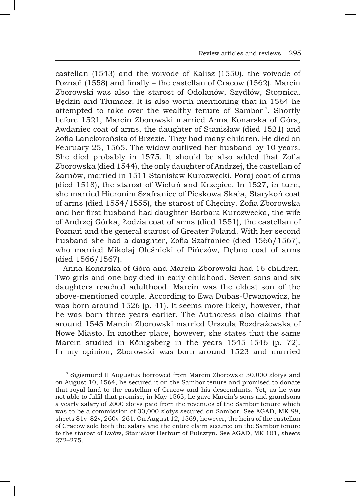castellan (1543) and the voivode of Kalisz (1550), the voivode of Poznań (1558) and finally – the castellan of Cracow (1562). Marcin Zborowski was also the starost of Odolanów, Szydłów, Stopnica, Będzin and Tłumacz. It is also worth mentioning that in 1564 he attempted to take over the wealthy tenure of Sambor<sup>17</sup>. Shortly before 1521, Marcin Zborowski married Anna Konarska of Góra, Awdaniec coat of arms, the daughter of Stanisław (died 1521) and Zofia Lanckorońska of Brzezie. They had many children. He died on February 25, 1565. The widow outlived her husband by 10 years. She died probably in 1575. It should be also added that Zofia Zborowska (died 1544), the only daughter of Andrzej, the castellan of Żarnów, married in 1511 Stanisław Kurozwęcki, Poraj coat of arms (died 1518), the starost of Wieluń and Krzepice. In 1527, in turn, she married Hieronim Szafraniec of Pieskowa Skała, Starykoń coat of arms (died 1554/1555), the starost of Chęciny. Zofia Zborowska and her first husband had daughter Barbara Kurozwęcka, the wife of Andrzej Górka, Łodzia coat of arms (died 1551), the castellan of Poznań and the general starost of Greater Poland. With her second husband she had a daughter, Zofia Szafraniec (died 1566/1567), who married Mikołaj Oleśnicki of Pińczów, Dębno coat of arms (died 1566/1567).

Anna Konarska of Góra and Marcin Zborowski had 16 children. Two girls and one boy died in early childhood. Seven sons and six daughters reached adulthood. Marcin was the eldest son of the above-mentioned couple. According to Ewa Dubas-Urwanowicz, he was born around 1526 (p. 41). It seems more likely, however, that he was born three years earlier. The Authoress also claims that around 1545 Marcin Zborowski married Urszula Rozdrażewska of Nowe Miasto. In another place, however, she states that the same Marcin studied in Königsberg in the years 1545–1546 (p. 72). In my opinion, Zborowski was born around 1523 and married

<sup>&</sup>lt;sup>17</sup> Sigismund II Augustus borrowed from Marcin Zborowski 30,000 zlotys and on August 10, 1564, he secured it on the Sambor tenure and promised to donate that royal land to the castellan of Cracow and his descendants. Yet, as he was not able to fulfil that promise, in May 1565, he gave Marcin's sons and grandsons a yearly salary of 2000 zlotys paid from the revenues of the Sambor tenure which was to be a commission of 30,000 zlotys secured on Sambor. See AGAD, MK 99, sheets 81v–82v, 260v–261. On August 12, 1569, however, the heirs of the castellan of Cracow sold both the salary and the entire claim secured on the Sambor tenure to the starost of Lwów, Stanisław Herburt of Fulsztyn. See AGAD, MK 101, sheets 272–275.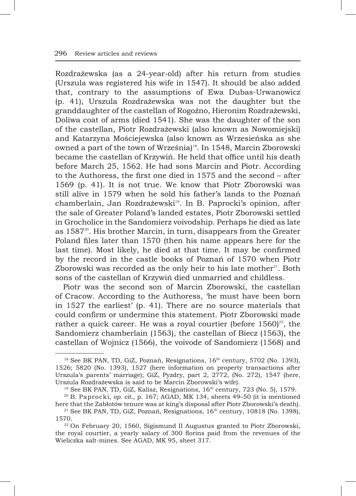Rozdrażewska (as a 24-year-old) after his return from studies (Urszula was registered his wife in 1547). It should be also added that, contrary to the assumptions of Ewa Dubas-Urwanowicz (p. 41), Urszula Rozdrażewska was not the daughter but the granddaughter of the castellan of Rogoźno, Hieronim Rozdrażewski, Doliwa coat of arms (died 1541). She was the daughter of the son of the castellan, Piotr Rozdrażewski (also known as Nowomiejski) and Katarzyna Mościejewska (also known as Wrzesieńska as she owned a part of the town of Września)<sup>18</sup>. In 1548, Marcin Zborowski became the castellan of Krzywiń. He held that office until his death before March 25, 1562. He had sons Marcin and Piotr. According to the Authoress, the first one died in 1575 and the second – after 1569 (p. 41). It is not true. We know that Piotr Zborowski was still alive in 1579 when he sold his father's lands to the Poznań chamberlain, Jan Rozdrażewski<sup>19</sup>. In B. Paprocki's opinion, after the sale of Greater Poland's landed estates, Piotr Zborowski settled in Grocholice in the Sandomierz voivodship. Perhaps he died as late as 1587<sup>20</sup>. His brother Marcin, in turn, disappears from the Greater Poland files later than 1570 (then his name appears here for the last time). Most likely, he died at that time. It may be confirmed by the record in the castle books of Poznań of 1570 when Piotr Zborowski was recorded as the only heir to his late mother $21$ . Both sons of the castellan of Krzywiń died unmarried and childless.

Piotr was the second son of Marcin Zborowski, the castellan of Cracow. According to the Authoress, 'he must have been born in 1527 the earliest' (p. 41). There are no source materials that could confirm or undermine this statement. Piotr Zborowski made rather a quick career. He was a royal courtier (before  $1560)^{22}$ , the Sandomierz chamberlain (1563), the castellan of Biecz (1563), the castellan of Wojnicz (1566), the voivode of Sandomierz (1568) and

 $18$  See BK PAN, TD, GiZ, Poznań, Resignations,  $16<sup>th</sup>$  century, 5702 (No. 1393), 1526; 5820 (No. 1393), 1527 (here information on property transactions after Urszula's parents' marriage); GiZ, Pyzdry, part 2, 2772, (No. 272), 1547 (here, Urszula Rozdrażewska is said to be Marcin Zborowski's wife).

 $19$  See BK PAN, TD, GiZ, Kalisz, Resignations,  $16<sup>th</sup>$  century, 723 (No. 5), 1579.

<sup>20</sup> B. Paprocki, *op. cit.*, p. 167; AGAD, MK 134, sheets 49–50 (it is mentioned here that the Zabłotów tenure was at king's disposal after Piotr Zborowski's death).

<sup>&</sup>lt;sup>21</sup> See BK PAN, TD, GiZ, Poznań, Resignations,  $16<sup>th</sup>$  century, 10818 (No. 1398), 1570.

<sup>22</sup> On February 20, 1560, Sigismund II Augustus granted to Piotr Zborowski, the royal courtier, a yearly salary of 300 florins paid from the revenues of the Wieliczka salt-mines. See AGAD, MK 95, sheet 317.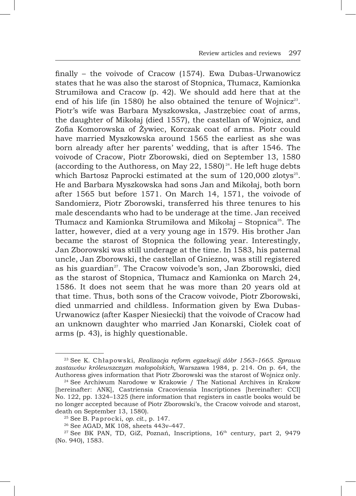finally – the voivode of Cracow (1574). Ewa Dubas-Urwanowicz states that he was also the starost of Stopnica, Tłumacz, Kamionka Strumiłowa and Cracow (p. 42). We should add here that at the end of his life (in 1580) he also obtained the tenure of Wojnicz<sup>23</sup>. Piotr's wife was Barbara Myszkowska, Jastrzębiec coat of arms, the daughter of Mikołaj (died 1557), the castellan of Wojnicz, and Zofia Komorowska of Żywiec, Korczak coat of arms. Piotr could have married Myszkowska around 1565 the earliest as she was born already after her parents' wedding, that is after 1546. The voivode of Cracow, Piotr Zborowski, died on September 13, 1580 (according to the Authoress, on May 22, 1580)<sup>24</sup>. He left huge debts which Bartosz Paprocki estimated at the sum of  $120,000$  zlotys<sup>25</sup>. He and Barbara Myszkowska had sons Jan and Mikołaj, both born after 1565 but before 1571. On March 14, 1571, the voivode of Sandomierz, Piotr Zborowski, transferred his three tenures to his male descendants who had to be underage at the time. Jan received Tłumacz and Kamionka Strumiłowa and Mikołaj – Stopnica<sup>26</sup>. The latter, however, died at a very young age in 1579. His brother Jan became the starost of Stopnica the following year. Interestingly, Jan Zborowski was still underage at the time. In 1583, his paternal uncle, Jan Zborowski, the castellan of Gniezno, was still registered as his guardian<sup>27</sup>. The Cracow voivode's son, Jan Zborowski, died as the starost of Stopnica, Tłumacz and Kamionka on March 24, 1586. It does not seem that he was more than 20 years old at that time. Thus, both sons of the Cracow voivode, Piotr Zborowski, died unmarried and childless. Information given by Ewa Dubas-Urwanowicz (after Kasper Niesiecki) that the voivode of Cracow had an unknown daughter who married Jan Konarski, Ciołek coat of arms (p. 43), is highly questionable.

<sup>23</sup> See K. Chłapowski, *Realizacja reform egzekucji dóbr 1563–1665. Sprawa zastawów królewszczyzn małopolskich*, Warszawa 1984, p. 214. On p. 64, the Authoress gives information that Piotr Zborowski was the starost of Wojnicz only.

<sup>&</sup>lt;sup>24</sup> See Archiwum Narodowe w Krakowie / The National Archives in Krakow [hereinafter: ANK], Castriensia Cracoviensia Inscriptiones [hereinafter: CCI] No. 122, pp. 1324–1325 (here information that registers in castle books would be no longer accepted because of Piotr Zborowski's, the Cracow voivode and starost, death on September 13, 1580).

<sup>25</sup> See B. Paprocki, *op. cit.*, p. 147.

<sup>26</sup> See AGAD, MK 108, sheets 443v–447.

<sup>&</sup>lt;sup>27</sup> See BK PAN, TD, GiZ, Poznań, Inscriptions, 16<sup>th</sup> century, part 2, 9479 (No. 940), 1583.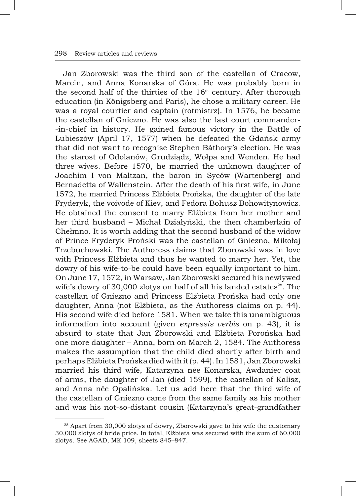Jan Zborowski was the third son of the castellan of Cracow, Marcin, and Anna Konarska of Góra. He was probably born in the second half of the thirties of the  $16<sup>th</sup>$  century. After thorough education (in Königsberg and Paris), he chose a military career. He was a royal courtier and captain (rotmistrz). In 1576, he became the castellan of Gniezno. He was also the last court commander- -in-chief in history. He gained famous victory in the Battle of Lubieszów (April 17, 1577) when he defeated the Gdańsk army that did not want to recognise Stephen Báthory's election. He was the starost of Odolanów, Grudziądz, Wołpa and Wenden. He had three wives. Before 1570, he married the unknown daughter of Joachim I von Maltzan, the baron in Syców (Wartenberg) and Bernadetta of Wallenstein. After the death of his first wife, in June 1572, he married Princess Elżbieta Prońska, the daughter of the late Fryderyk, the voivode of Kiev, and Fedora Bohusz Bohowitynowicz. He obtained the consent to marry Elżbieta from her mother and her third husband – Michał Działyński, the then chamberlain of Chełmno. It is worth adding that the second husband of the widow of Prince Fryderyk Proński was the castellan of Gniezno, Mikołaj Trzebuchowski. The Authoress claims that Zborowski was in love with Princess Elżbieta and thus he wanted to marry her. Yet, the dowry of his wife-to-be could have been equally important to him. On June 17, 1572, in Warsaw, Jan Zborowski secured his newlywed wife's dowry of 30,000 zlotys on half of all his landed estates $^{28}$ . The castellan of Gniezno and Princess Elżbieta Prońska had only one daughter, Anna (not Elżbieta, as the Authoress claims on p. 44). His second wife died before 1581. When we take this unambiguous information into account (given *expressis verbis* on p. 43), it is absurd to state that Jan Zborowski and Elżbieta Porońska had one more daughter – Anna, born on March 2, 1584. The Authoress makes the assumption that the child died shortly after birth and perhaps Elżbieta Prońska died with it (p. 44). In 1581, Jan Zborowski married his third wife, Katarzyna née Konarska, Awdaniec coat of arms, the daughter of Jan (died 1599), the castellan of Kalisz, and Anna née Opalińska. Let us add here that the third wife of the castellan of Gniezno came from the same family as his mother and was his not-so-distant cousin (Katarzyna's great-grandfather

<sup>&</sup>lt;sup>28</sup> Apart from 30,000 zlotys of dowry, Zborowski gave to his wife the customary 30,000 zlotys of bride price. In total, Elżbieta was secured with the sum of 60,000 zlotys. See AGAD, MK 109, sheets 845–847.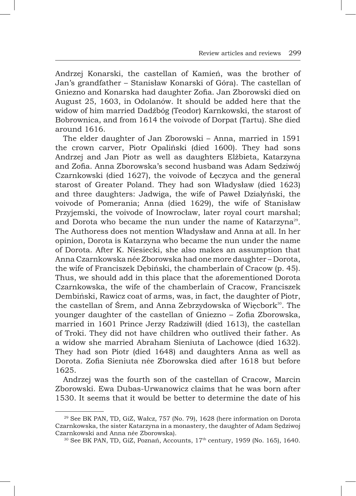Andrzej Konarski, the castellan of Kamień, was the brother of Jan's grandfather – Stanisław Konarski of Góra). The castellan of Gniezno and Konarska had daughter Zofia. Jan Zborowski died on August 25, 1603, in Odolanów. It should be added here that the widow of him married Dadźbóg (Teodor) Karnkowski, the starost of Bobrownica, and from 1614 the voivode of Dorpat (Tartu). She died around 1616.

The elder daughter of Jan Zborowski – Anna, married in 1591 the crown carver, Piotr Opaliński (died 1600). They had sons Andrzej and Jan Piotr as well as daughters Elżbieta, Katarzyna and Zofia. Anna Zborowska's second husband was Adam Sędziwój Czarnkowski (died 1627), the voivode of Łeczyca and the general starost of Greater Poland. They had son Władysław (died 1623) and three daughters: Jadwiga, the wife of Paweł Działyński, the voivode of Pomerania; Anna (died 1629), the wife of Stanisław Przyjemski, the voivode of Inowrocław, later royal court marshal; and Dorota who became the nun under the name of Katarzyna<sup>29</sup>. The Authoress does not mention Władysław and Anna at all. In her opinion, Dorota is Katarzyna who became the nun under the name of Dorota. After K. Niesiecki, she also makes an assumption that Anna Czarnkowska née Zborowska had one more daughter – Dorota, the wife of Franciszek Dębiński, the chamberlain of Cracow (p. 45). Thus, we should add in this place that the aforementioned Dorota Czarnkowska, the wife of the chamberlain of Cracow, Franciszek Dembiński, Rawicz coat of arms, was, in fact, the daughter of Piotr, the castellan of Śrem, and Anna Zebrzydowska of Więcbork<sup>30</sup>. The younger daughter of the castellan of Gniezno – Zofia Zborowska, married in 1601 Prince Jerzy Radziwiłł (died 1613), the castellan of Troki. They did not have children who outlived their father. As a widow she married Abraham Sieniuta of Lachowce (died 1632). They had son Piotr (died 1648) and daughters Anna as well as Dorota. Zofia Sieniuta née Zborowska died after 1618 but before 1625.

Andrzej was the fourth son of the castellan of Cracow, Marcin Zborowski. Ewa Dubas-Urwanowicz claims that he was born after 1530. It seems that it would be better to determine the date of his

<sup>29</sup> See BK PAN, TD, GiZ, Wałcz, 757 (No. 79), 1628 (here information on Dorota Czarnkowska, the sister Katarzyna in a monastery, the daughter of Adam Sędziwoj Czarnkowski and Anna née Zborowska).

 $30$  See BK PAN, TD, GiZ, Poznań, Accounts,  $17<sup>th</sup>$  century, 1959 (No. 165), 1640.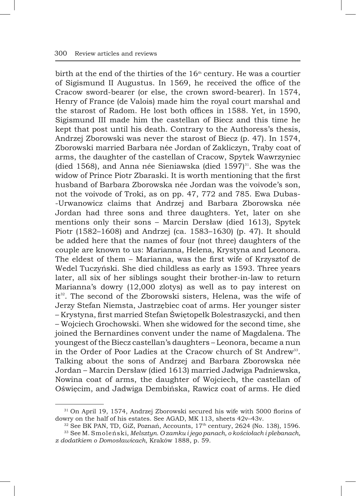birth at the end of the thirties of the  $16<sup>th</sup>$  century. He was a courtier of Sigismund II Augustus. In 1569, he received the office of the Cracow sword-bearer (or else, the crown sword-bearer). In 1574, Henry of France (de Valois) made him the royal court marshal and the starost of Radom. He lost both offices in 1588. Yet, in 1590, Sigismund III made him the castellan of Biecz and this time he kept that post until his death. Contrary to the Authoress's thesis, Andrzej Zborowski was never the starost of Biecz (p. 47). In 1574, Zborowski married Barbara née Jordan of Zakliczyn, Trąby coat of arms, the daughter of the castellan of Cracow, Spytek Wawrzyniec (died 1568), and Anna née Sieniawska (died  $1597$ <sup>31</sup>. She was the widow of Prince Piotr Zbaraski. It is worth mentioning that the first husband of Barbara Zborowska née Jordan was the voivode's son, not the voivode of Troki, as on pp. 47, 772 and 785. Ewa Dubas- -Urwanowicz claims that Andrzej and Barbara Zborowska née Jordan had three sons and three daughters. Yet, later on she mentions only their sons – Marcin Dersław (died 1613), Spytek Piotr (1582–1608) and Andrzej (ca. 1583–1630) (p. 47). It should be added here that the names of four (not three) daughters of the couple are known to us: Marianna, Helena, Krystyna and Leonora. The eldest of them – Marianna, was the first wife of Krzysztof de Wedel Tuczyński. She died childless as early as 1593. Three years later, all six of her siblings sought their brother-in-law to return Marianna's dowry (12,000 zlotys) as well as to pay interest on it<sup>32</sup>. The second of the Zborowski sisters, Helena, was the wife of Jerzy Stefan Niemsta, Jastrzębiec coat of arms. Her younger sister – Krystyna, first married Stefan Świętopełk Bolestraszycki, and then – Wojciech Grochowski. When she widowed for the second time, she joined the Bernardines convent under the name of Magdalena. The youngest of the Biecz castellan's daughters – Leonora, became a nun in the Order of Poor Ladies at the Cracow church of St Andrew<sup>33</sup>. Talking about the sons of Andrzej and Barbara Zborowska née Jordan – Marcin Dersław (died 1613) married Jadwiga Padniewska, Nowina coat of arms, the daughter of Wojciech, the castellan of Oświęcim, and Jadwiga Dembińska, Rawicz coat of arms. He died

<sup>31</sup> On April 19, 1574, Andrzej Zborowski secured his wife with 5000 florins of dowry on the half of his estates. See AGAD, MK 113, sheets 42v–43v.

 $32$  See BK PAN, TD, GiZ, Poznań, Accounts,  $17<sup>th</sup>$  century, 2624 (No. 138), 1596. <sup>33</sup> See M. Smoleński, *Melsztyn. O zamku i jego panach, o kościołach i plebanach, z dodatkiem o Domosławicach*, Kraków 1888, p. 59.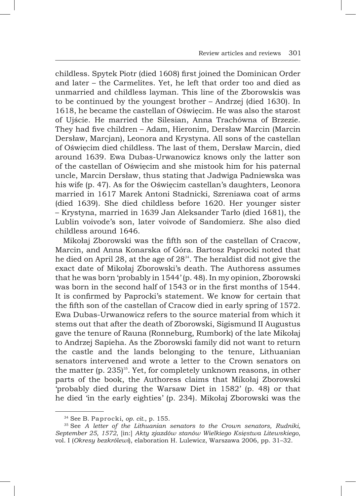childless. Spytek Piotr (died 1608) first joined the Dominican Order and later – the Carmelites. Yet, he left that order too and died as unmarried and childless layman. This line of the Zborowskis was to be continued by the youngest brother – Andrzej (died 1630). In 1618, he became the castellan of Oświęcim. He was also the starost of Ujście. He married the Silesian, Anna Trachówna of Brzezie. They had five children – Adam, Hieronim, Dersław Marcin (Marcin Dersław, Marcjan), Leonora and Krystyna. All sons of the castellan of Oświęcim died childless. The last of them, Dersław Marcin, died around 1639. Ewa Dubas-Urwanowicz knows only the latter son of the castellan of Oświęcim and she mistook him for his paternal uncle, Marcin Dersław, thus stating that Jadwiga Padniewska was his wife (p. 47). As for the Oświęcim castellan's daughters, Leonora married in 1617 Marek Antoni Stadnicki, Szreniawa coat of arms (died 1639). She died childless before 1620. Her younger sister – Krystyna, married in 1639 Jan Aleksander Tarło (died 1681), the Lublin voivode's son, later voivode of Sandomierz. She also died childless around 1646.

Mikołaj Zborowski was the fifth son of the castellan of Cracow, Marcin, and Anna Konarska of Góra. Bartosz Paprocki noted that he died on April 28, at the age of  $28<sup>34</sup>$ . The heraldist did not give the exact date of Mikołaj Zborowski's death. The Authoress assumes that he was born 'probably in 1544' (p. 48). In my opinion, Zborowski was born in the second half of 1543 or in the first months of 1544. It is confirmed by Paprocki's statement. We know for certain that the fifth son of the castellan of Cracow died in early spring of 1572. Ewa Dubas-Urwanowicz refers to the source material from which it stems out that after the death of Zborowski, Sigismund II Augustus gave the tenure of Rauna (Ronneburg, Rumbork) of the late Mikołaj to Andrzej Sapieha. As the Zborowski family did not want to return the castle and the lands belonging to the tenure, Lithuanian senators intervened and wrote a letter to the Crown senators on the matter (p.  $235$ )<sup>35</sup>. Yet, for completely unknown reasons, in other parts of the book, the Authoress claims that Mikołaj Zborowski 'probably died during the Warsaw Diet in 1582' (p. 48) or that he died 'in the early eighties' (p. 234). Mikołaj Zborowski was the

<sup>34</sup> See B. Paprocki, *op. cit.*, p. 155.

<sup>35</sup> See *A letter of the Lithuanian senators to the Crown senators, Rudniki, September 25, 1572*, [in:] *Akty zjazdów stanów Wielkiego Księstwa Litewskiego*, vol. I (*Okresy bezkrólewi*), elaboration H. Lulewicz, Warszawa 2006, pp. 31–32.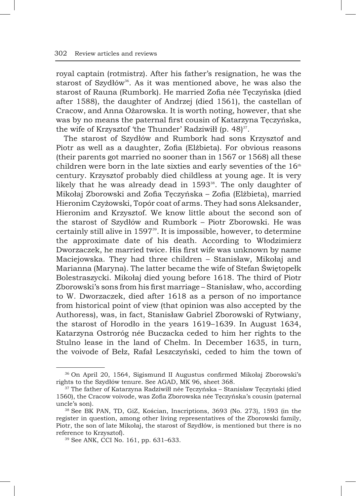royal captain (rotmistrz). After his father's resignation, he was the starost of Szydłów<sup>36</sup>. As it was mentioned above, he was also the starost of Rauna (Rumbork). He married Zofia née Tęczyńska (died after 1588), the daughter of Andrzej (died 1561), the castellan of Cracow, and Anna Ożarowska. It is worth noting, however, that she was by no means the paternal first cousin of Katarzyna Tęczyńska, the wife of Krzysztof 'the Thunder' Radziwiłł (p. 48) $37$ .

The starost of Szydłów and Rumbork had sons Krzysztof and Piotr as well as a daughter, Zofia (Elżbieta). For obvious reasons (their parents got married no sooner than in 1567 or 1568) all these children were born in the late sixties and early seventies of the  $16<sup>th</sup>$ century. Krzysztof probably died childless at young age. It is very likely that he was already dead in  $1593^{38}$ . The only daughter of Mikołaj Zborowski and Zofia Tęczyńska – Zofia (Elżbieta), married Hieronim Czyżowski, Topór coat of arms. They had sons Aleksander, Hieronim and Krzysztof. We know little about the second son of the starost of Szydłów and Rumbork – Piotr Zborowski. He was certainly still alive in 1597<sup>39</sup>. It is impossible, however, to determine the approximate date of his death. According to Włodzimierz Dworzaczek, he married twice. His first wife was unknown by name Maciejowska. They had three children – Stanisław, Mikołaj and Marianna (Maryna). The latter became the wife of Stefan Świętopełk Bolestraszycki. Mikołaj died young before 1618. The third of Piotr Zborowski's sons from his first marriage – Stanisław, who, according to W. Dworzaczek, died after 1618 as a person of no importance from historical point of view (that opinion was also accepted by the Authoress), was, in fact, Stanisław Gabriel Zborowski of Rytwiany, the starost of Horodło in the years 1619–1639. In August 1634, Katarzyna Ostroróg née Buczacka ceded to him her rights to the Stulno lease in the land of Chełm. In December 1635, in turn, the voivode of Bełz, Rafał Leszczyński, ceded to him the town of

<sup>36</sup> On April 20, 1564, Sigismund II Augustus confirmed Mikołaj Zborowski's rights to the Szydłów tenure. See AGAD, MK 96, sheet 368.

<sup>&</sup>lt;sup>37</sup> The father of Katarzyna Radziwiłł née Tęczyńska – Stanisław Tęczyński (died 1560), the Cracow voivode, was Zofia Zborowska née Tęczyńska's cousin (paternal uncle's son).

<sup>38</sup> See BK PAN, TD, GiZ, Kościan, Inscriptions, 3693 (No. 273), 1593 (in the register in question, among other living representatives of the Zborowski family, Piotr, the son of late Mikołaj, the starost of Szydłów, is mentioned but there is no reference to Krzysztof).

<sup>39</sup> See ANK, CCI No. 161, pp. 631–633.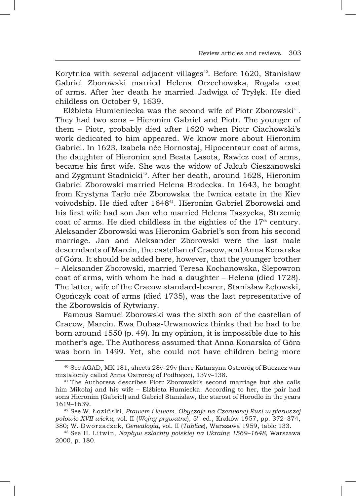Korytnica with several adjacent villages<sup>40</sup>. Before 1620, Stanisław Gabriel Zborowski married Helena Orzechowska, Rogala coat of arms. After her death he married Jadwiga of Tryłęk. He died childless on October 9, 1639.

Elżbieta Humieniecka was the second wife of Piotr Zborowski<sup>41</sup>. They had two sons – Hieronim Gabriel and Piotr. The younger of them – Piotr, probably died after 1620 when Piotr Ciachowski's work dedicated to him appeared. We know more about Hieronim Gabriel. In 1623, Izabela née Hornostaj, Hipocentaur coat of arms, the daughter of Hieronim and Beata Lasota, Rawicz coat of arms, became his first wife. She was the widow of Jakub Cieszanowski and Zygmunt Stadnicki<sup>42</sup>. After her death, around 1628, Hieronim Gabriel Zborowski married Helena Brodecka. In 1643, he bought from Krystyna Tarło née Zborowska the Iwnica estate in the Kiev voivodship. He died after 1648<sup>43</sup>. Hieronim Gabriel Zborowski and his first wife had son Jan who married Helena Taszycka, Strzemię coat of arms. He died childless in the eighties of the  $17<sup>th</sup>$  century. Aleksander Zborowski was Hieronim Gabriel's son from his second marriage. Jan and Aleksander Zborowski were the last male descendants of Marcin, the castellan of Cracow, and Anna Konarska of Góra. It should be added here, however, that the younger brother – Aleksander Zborowski, married Teresa Kochanowska, Ślepowron coat of arms, with whom he had a daughter – Helena (died 1728). The latter, wife of the Cracow standard-bearer, Stanisław Łętowski, Ogończyk coat of arms (died 1735), was the last representative of the Zborowskis of Rytwiany.

Famous Samuel Zborowski was the sixth son of the castellan of Cracow, Marcin. Ewa Dubas-Urwanowicz thinks that he had to be born around 1550 (p. 49). In my opinion, it is impossible due to his mother's age. The Authoress assumed that Anna Konarska of Góra was born in 1499. Yet, she could not have children being more

<sup>40</sup> See AGAD, MK 181, sheets 28v–29v (here Katarzyna Ostroróg of Buczacz was mistakenly called Anna Ostroróg of Podhajec), 137v–138.

<sup>&</sup>lt;sup>41</sup> The Authoress describes Piotr Zborowski's second marriage but she calls him Mikołaj and his wife – Elżbieta Humiecka. According to her, the pair had sons Hieronim (Gabriel) and Gabriel Stanisław, the starost of Horodło in the years 1619–1639.

<sup>42</sup> See W. Łoziński, *Prawem i lewem. Obyczaje na Czerwonej Rusi w pierwszej połowie XVII wieku*, vol. II (*Wojny prywatne*), 5th ed., Kraków 1957, pp. 372–374, 380; W. Dworzaczek, *Genealogia*, vol. II (*Tablice*), Warszawa 1959, table 133.

<sup>43</sup> See H. Litwin, *Napływ szlachty polskiej na Ukrainę 1569–1648*, Warszawa 2000, p. 180.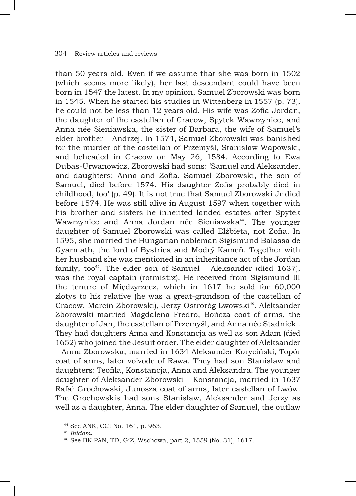than 50 years old. Even if we assume that she was born in 1502 (which seems more likely), her last descendant could have been born in 1547 the latest. In my opinion, Samuel Zborowski was born in 1545. When he started his studies in Wittenberg in 1557 (p. 73), he could not be less than 12 years old. His wife was Zofia Jordan, the daughter of the castellan of Cracow, Spytek Wawrzyniec, and Anna née Sieniawska, the sister of Barbara, the wife of Samuel's elder brother – Andrzej. In 1574, Samuel Zborowski was banished for the murder of the castellan of Przemyśl, Stanisław Wapowski, and beheaded in Cracow on May 26, 1584. According to Ewa Dubas-Urwanowicz, Zborowski had sons: 'Samuel and Aleksander, and daughters: Anna and Zofia. Samuel Zborowski, the son of Samuel, died before 1574. His daughter Zofia probably died in childhood, too' (p. 49). It is not true that Samuel Zborowski Jr died before 1574. He was still alive in August 1597 when together with his brother and sisters he inherited landed estates after Spytek Wawrzyniec and Anna Jordan née Sieniawska<sup>44</sup>. The younger daughter of Samuel Zborowski was called Elżbieta, not Zofia. In 1595, she married the Hungarian nobleman Sigismund Balassa de Gyarmath, the lord of Bystrica and Modrý Kameň. Together with her husband she was mentioned in an inheritance act of the Jordan family, too<sup>45</sup>. The elder son of Samuel – Aleksander (died 1637), was the royal captain (rotmistrz). He received from Sigismund III the tenure of Międzyrzecz, which in 1617 he sold for 60,000 zlotys to his relative (he was a great-grandson of the castellan of Cracow, Marcin Zborowski), Jerzy Ostroróg Lwowski<sup>46</sup>. Aleksander Zborowski married Magdalena Fredro, Bończa coat of arms, the daughter of Jan, the castellan of Przemyśl, and Anna née Stadnicki. They had daughters Anna and Konstancja as well as son Adam (died 1652) who joined the Jesuit order. The elder daughter of Aleksander – Anna Zborowska, married in 1634 Aleksander Koryciński, Topór coat of arms, later voivode of Rawa. They had son Stanisław and daughters: Teofila, Konstancja, Anna and Aleksandra. The younger daughter of Aleksander Zborowski – Konstancja, married in 1637 Rafał Grochowski, Junosza coat of arms, later castellan of Lwów. The Grochowskis had sons Stanisław, Aleksander and Jerzy as well as a daughter, Anna. The elder daughter of Samuel, the outlaw

<sup>44</sup> See ANK, CCI No. 161, p. 963.

<sup>45</sup> *Ibidem*.

<sup>46</sup> See BK PAN, TD, GiZ, Wschowa, part 2, 1559 (No. 31), 1617.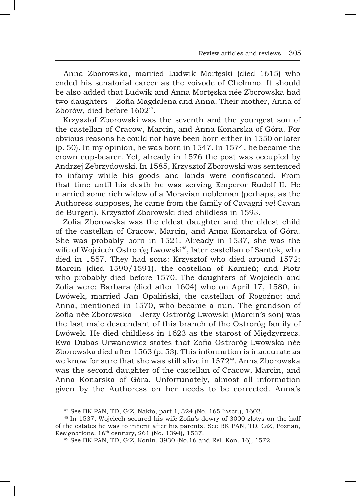– Anna Zborowska, married Ludwik Mortęski (died 1615) who ended his senatorial career as the voivode of Chełmno. It should be also added that Ludwik and Anna Mortęska née Zborowska had two daughters – Zofia Magdalena and Anna. Their mother, Anna of Zborów, died before 1602<sup>47</sup>.

Krzysztof Zborowski was the seventh and the youngest son of the castellan of Cracow, Marcin, and Anna Konarska of Góra. For obvious reasons he could not have been born either in 1550 or later (p. 50). In my opinion, he was born in 1547. In 1574, he became the crown cup-bearer. Yet, already in 1576 the post was occupied by Andrzej Zebrzydowski. In 1585, Krzysztof Zborowski was sentenced to infamy while his goods and lands were confiscated. From that time until his death he was serving Emperor Rudolf II. He married some rich widow of a Moravian nobleman (perhaps, as the Authoress supposes, he came from the family of Cavagni *vel* Cavan de Burgeri). Krzysztof Zborowski died childless in 1593.

Zofia Zborowska was the eldest daughter and the eldest child of the castellan of Cracow, Marcin, and Anna Konarska of Góra. She was probably born in 1521. Already in 1537, she was the wife of Wojciech Ostroróg Lwowski<sup>48</sup>, later castellan of Santok, who died in 1557. They had sons: Krzysztof who died around 1572; Marcin (died 1590/1591), the castellan of Kamień; and Piotr who probably died before 1570. The daughters of Wojciech and Zofia were: Barbara (died after 1604) who on April 17, 1580, in Lwówek, married Jan Opaliński, the castellan of Rogoźno; and Anna, mentioned in 1570, who became a nun. The grandson of Zofia née Zborowska – Jerzy Ostroróg Lwowski (Marcin's son) was the last male descendant of this branch of the Ostroróg family of Lwówek. He died childless in 1623 as the starost of Międzyrzecz. Ewa Dubas-Urwanowicz states that Zofia Ostroróg Lwowska née Zborowska died after 1563 (p. 53). This information is inaccurate as we know for sure that she was still alive in 1572<sup>49</sup>. Anna Zborowska was the second daughter of the castellan of Cracow, Marcin, and Anna Konarska of Góra. Unfortunately, almost all information given by the Authoress on her needs to be corrected. Anna's

<sup>47</sup> See BK PAN, TD, GiZ, Nakło, part 1, 324 (No. 165 Inscr.), 1602.

<sup>48</sup> In 1537, Wojciech secured his wife Zofia's dowry of 3000 zlotys on the half of the estates he was to inherit after his parents. See BK PAN, TD, GiZ, Poznań, Resignations, 16<sup>th</sup> century, 261 (No. 1394), 1537.

<sup>49</sup> See BK PAN, TD, GiZ, Konin, 3930 (No.16 and Rel. Kon. 16), 1572.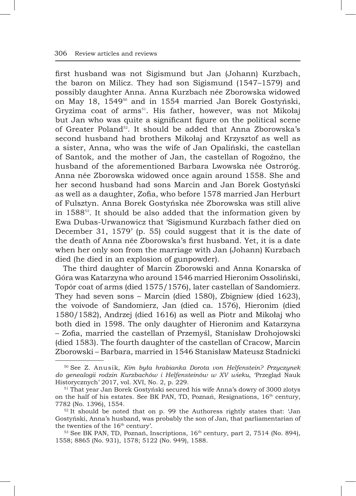first husband was not Sigismund but Jan (Johann) Kurzbach, the baron on Milicz. They had son Sigismund (1547–1579) and possibly daughter Anna. Anna Kurzbach née Zborowska widowed on May 18, 1549<sup>50</sup> and in 1554 married Jan Borek Gostyński, Gryzima coat of arms<sup>51</sup>. His father, however, was not Mikołaj but Jan who was quite a significant figure on the political scene of Greater Poland<sup>52</sup>. It should be added that Anna Zborowska's second husband had brothers Mikołaj and Krzysztof as well as a sister, Anna, who was the wife of Jan Opaliński, the castellan of Santok, and the mother of Jan, the castellan of Rogoźno, the husband of the aforementioned Barbara Lwowska née Ostroróg. Anna née Zborowska widowed once again around 1558. She and her second husband had sons Marcin and Jan Borek Gostyński as well as a daughter, Zofia, who before 1578 married Jan Herburt of Fulsztyn. Anna Borek Gostyńska née Zborowska was still alive in  $1588^{53}$ . It should be also added that the information given by Ewa Dubas-Urwanowicz that 'Sigismund Kurzbach father died on December 31, 1579' (p. 55) could suggest that it is the date of the death of Anna née Zborowska's first husband. Yet, it is a date when her only son from the marriage with Jan (Johann) Kurzbach died (he died in an explosion of gunpowder).

The third daughter of Marcin Zborowski and Anna Konarska of Góra was Katarzyna who around 1546 married Hieronim Ossoliński, Topór coat of arms (died 1575/1576), later castellan of Sandomierz. They had seven sons – Marcin (died 1580), Zbigniew (died 1623), the voivode of Sandomierz, Jan (died ca. 1576), Hieronim (died 1580/1582), Andrzej (died 1616) as well as Piotr and Mikołaj who both died in 1598. The only daughter of Hieronim and Katarzyna – Zofia, married the castellan of Przemyśl, Stanisław Drohojowski (died 1583). The fourth daughter of the castellan of Cracow, Marcin Zborowski – Barbara, married in 1546 Stanisław Mateusz Stadnicki

<sup>50</sup> See Z. Anusik, *Kim była hrabianka Dorota von Helfenstein? Przyczynek do genealogii rodzin Kurzbachów i Helfensteinów w XV wieku*, 'Przegląd Nauk Historycznych' 2017, vol. XVI, No. 2, p. 229.

<sup>51</sup> That year Jan Borek Gostyński secured his wife Anna's dowry of 3000 zlotys on the half of his estates. See BK PAN, TD, Poznań, Resignations, 16<sup>th</sup> century, 7782 (No. 1396), 1554.

<sup>52</sup> It should be noted that on p. 99 the Authoress rightly states that: 'Jan Gostyński, Anna's husband, was probably the son of Jan, that parliamentarian of the twenties of the 16<sup>th</sup> century'.

<sup>&</sup>lt;sup>53</sup> See BK PAN, TD, Poznań, Inscriptions, 16<sup>th</sup> century, part 2, 7514 (No. 894), 1558; 8865 (No. 931), 1578; 5122 (No. 949), 1588.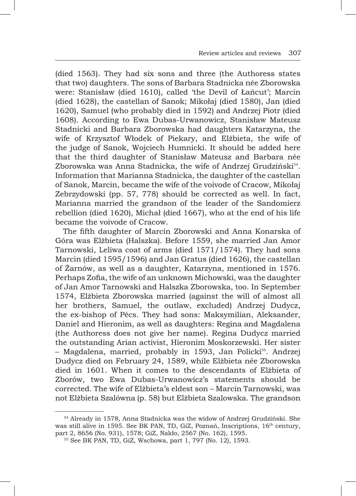(died 1563). They had six sons and three (the Authoress states that two) daughters. The sons of Barbara Stadnicka née Zborowska were: Stanisław (died 1610), called 'the Devil of Łańcut'; Marcin (died 1628), the castellan of Sanok; Mikołaj (died 1580), Jan (died 1620), Samuel (who probably died in 1592) and Andrzej Piotr (died 1608). According to Ewa Dubas-Urwanowicz, Stanisław Mateusz Stadnicki and Barbara Zborowska had daughters Katarzyna, the wife of Krzysztof Włodek of Piekary, and Elżbieta, the wife of the judge of Sanok, Wojciech Humnicki. It should be added here that the third daughter of Stanisław Mateusz and Barbara née Zborowska was Anna Stadnicka, the wife of Andrzej Grudziński<sup>54</sup>. Information that Marianna Stadnicka, the daughter of the castellan of Sanok, Marcin, became the wife of the voivode of Cracow, Mikołaj Zebrzydowski (pp. 57, 778) should be corrected as well. In fact, Marianna married the grandson of the leader of the Sandomierz rebellion (died 1620), Michał (died 1667), who at the end of his life became the voivode of Cracow.

The fifth daughter of Marcin Zborowski and Anna Konarska of Góra was Elżbieta (Halszka). Before 1559, she married Jan Amor Tarnowski, Leliwa coat of arms (died 1571/1574). They had sons Marcin (died 1595/1596) and Jan Gratus (died 1626), the castellan of Żarnów, as well as a daughter, Katarzyna, mentioned in 1576. Perhaps Zofia, the wife of an unknown Michowski, was the daughter of Jan Amor Tarnowski and Halszka Zborowska, too. In September 1574, Elżbieta Zborowska married (against the will of almost all her brothers, Samuel, the outlaw, excluded) Andrzej Dudycz, the ex-bishop of Pécs. They had sons: Maksymilian, Aleksander, Daniel and Hieronim, as well as daughters: Regina and Magdalena (the Authoress does not give her name). Regina Dudycz married the outstanding Arian activist, Hieronim Moskorzewski. Her sister – Magdalena, married, probably in 1593, Jan Policki<sup>55</sup>. Andrzej Dudycz died on February 24, 1589, while Elżbieta née Zborowska died in 1601. When it comes to the descendants of Elżbieta of Zborów, two Ewa Dubas-Urwanowicz's statements should be corrected. The wife of Elżbieta's eldest son – Marcin Tarnowski, was not Elżbieta Szalówna (p. 58) but Elżbieta Szalowska. The grandson

<sup>54</sup> Already in 1578, Anna Stadnicka was the widow of Andrzej Grudziński. She was still alive in 1595. See BK PAN, TD, GiZ, Poznań, Inscriptions, 16<sup>th</sup> century, part 2, 8656 (No. 931), 1578; GiZ, Nakło, 2567 (No. 162), 1595.

<sup>55</sup> See BK PAN, TD, GiZ, Wschowa, part 1, 797 (No. 12), 1593.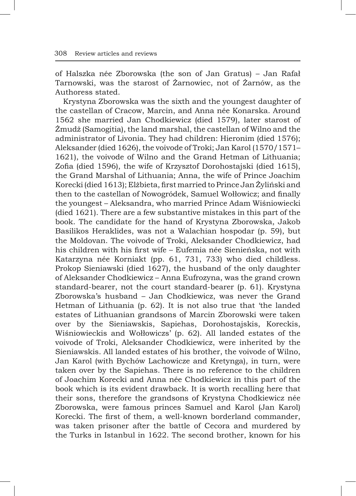of Halszka née Zborowska (the son of Jan Gratus) – Jan Rafał Tarnowski, was the starost of Żarnowiec, not of Żarnów, as the Authoress stated.

Krystyna Zborowska was the sixth and the youngest daughter of the castellan of Cracow, Marcin, and Anna née Konarska. Around 1562 she married Jan Chodkiewicz (died 1579), later starost of Żmudż (Samogitia), the land marshal, the castellan of Wilno and the administrator of Livonia. They had children: Hieronim (died 1576); Aleksander (died 1626), the voivode of Troki; Jan Karol (1570/1571– 1621), the voivode of Wilno and the Grand Hetman of Lithuania; Zofia (died 1596), the wife of Krzysztof Dorohostajski (died 1615), the Grand Marshal of Lithuania; Anna, the wife of Prince Joachim Korecki (died 1613); Elżbieta, first married to Prince Jan Żyliński and then to the castellan of Nowogródek, Samuel Wołłowicz; and finally the youngest – Aleksandra, who married Prince Adam Wiśniowiecki (died 1621). There are a few substantive mistakes in this part of the book. The candidate for the hand of Krystyna Zborowska, Jakob Basilikos Heraklides, was not a Walachian hospodar (p. 59), but the Moldovan. The voivode of Troki, Aleksander Chodkiewicz, had his children with his first wife – Eufemia née Sienieńska, not with Katarzyna née Korniakt (pp. 61, 731, 733) who died childless. Prokop Sieniawski (died 1627), the husband of the only daughter of Aleksander Chodkiewicz – Anna Eufrozyna, was the grand crown standard-bearer, not the court standard-bearer (p. 61). Krystyna Zborowska's husband – Jan Chodkiewicz, was never the Grand Hetman of Lithuania (p. 62). It is not also true that 'the landed estates of Lithuanian grandsons of Marcin Zborowski were taken over by the Sieniawskis, Sapiehas, Dorohostajskis, Koreckis, Wiśniowieckis and Wołłowiczs' (p. 62). All landed estates of the voivode of Troki, Aleksander Chodkiewicz, were inherited by the Sieniawskis. All landed estates of his brother, the voivode of Wilno, Jan Karol (with Bychów Lachowicze and Kretynga), in turn, were taken over by the Sapiehas. There is no reference to the children of Joachim Korecki and Anna née Chodkiewicz in this part of the book which is its evident drawback. It is worth recalling here that their sons, therefore the grandsons of Krystyna Chodkiewicz née Zborowska, were famous princes Samuel and Karol (Jan Karol) Korecki. The first of them, a well-known borderland commander, was taken prisoner after the battle of Cecora and murdered by the Turks in Istanbul in 1622. The second brother, known for his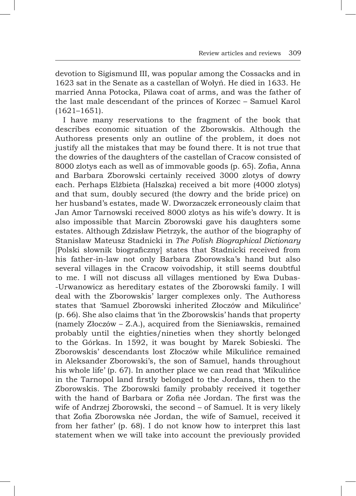devotion to Sigismund III, was popular among the Cossacks and in 1623 sat in the Senate as a castellan of Wołyń. He died in 1633. He married Anna Potocka, Pilawa coat of arms, and was the father of the last male descendant of the princes of Korzec – Samuel Karol (1621–1651).

I have many reservations to the fragment of the book that describes economic situation of the Zborowskis. Although the Authoress presents only an outline of the problem, it does not justify all the mistakes that may be found there. It is not true that the dowries of the daughters of the castellan of Cracow consisted of 8000 zlotys each as well as of immovable goods (p. 65). Zofia, Anna and Barbara Zborowski certainly received 3000 zlotys of dowry each. Perhaps Elżbieta (Halszka) received a bit more (4000 zlotys) and that sum, doubly secured (the dowry and the bride price) on her husband's estates, made W. Dworzaczek erroneously claim that Jan Amor Tarnowski received 8000 zlotys as his wife's dowry. It is also impossible that Marcin Zborowski gave his daughters some estates. Although Zdzisław Pietrzyk, the author of the biography of Stanisław Mateusz Stadnicki in *The Polish Biographical Dictionary* [Polski słownik biograficzny] states that Stadnicki received from his father-in-law not only Barbara Zborowska's hand but also several villages in the Cracow voivodship, it still seems doubtful to me. I will not discuss all villages mentioned by Ewa Dubas- -Urwanowicz as hereditary estates of the Zborowski family. I will deal with the Zborowskis' larger complexes only. The Authoress states that 'Samuel Zborowski inherited Złoczów and Mikulińce' (p. 66). She also claims that 'in the Zborowskis' hands that property (namely Złoczów – Z.A.), acquired from the Sieniawskis, remained probably until the eighties/nineties when they shortly belonged to the Górkas. In 1592, it was bought by Marek Sobieski. The Zborowskis' descendants lost Złoczów while Mikulińce remained in Aleksander Zborowski's, the son of Samuel, hands throughout his whole life' (p. 67). In another place we can read that 'Mikulińce in the Tarnopol land firstly belonged to the Jordans, then to the Zborowskis. The Zborowski family probably received it together with the hand of Barbara or Zofia née Jordan. The first was the wife of Andrzej Zborowski, the second – of Samuel. It is very likely that Zofia Zborowska née Jordan, the wife of Samuel, received it from her father' (p. 68). I do not know how to interpret this last statement when we will take into account the previously provided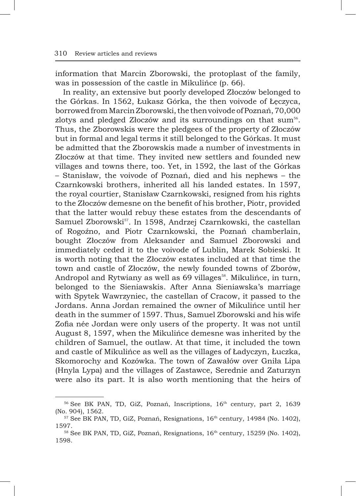information that Marcin Zborowski, the protoplast of the family, was in possession of the castle in Mikulińce (p. 66).

In reality, an extensive but poorly developed Złoczów belonged to the Górkas. In 1562, Łukasz Górka, the then voivode of Łeczyca, borrowed from Marcin Zborowski, the then voivode of Poznań, 70,000 zlotys and pledged Złoczów and its surroundings on that sum<sup>56</sup>. Thus, the Zborowskis were the pledgees of the property of Złoczów but in formal and legal terms it still belonged to the Górkas. It must be admitted that the Zborowskis made a number of investments in Złoczów at that time. They invited new settlers and founded new villages and towns there, too. Yet, in 1592, the last of the Górkas – Stanisław, the voivode of Poznań, died and his nephews – the Czarnkowski brothers, inherited all his landed estates. In 1597, the royal courtier, Stanisław Czarnkowski, resigned from his rights to the Złoczów demesne on the benefit of his brother, Piotr, provided that the latter would rebuy these estates from the descendants of Samuel Zborowski<sup>57</sup>. In 1598, Andrzej Czarnkowski, the castellan of Rogoźno, and Piotr Czarnkowski, the Poznań chamberlain, bought Złoczów from Aleksander and Samuel Zborowski and immediately ceded it to the voivode of Lublin, Marek Sobieski. It is worth noting that the Złoczów estates included at that time the town and castle of Złoczów, the newly founded towns of Zborów, Andropol and Rytwiany as well as 69 villages<sup>58</sup>. Mikulince, in turn, belonged to the Sieniawskis. After Anna Sieniawska's marriage with Spytek Wawrzyniec, the castellan of Cracow, it passed to the Jordans. Anna Jordan remained the owner of Mikulińce until her death in the summer of 1597. Thus, Samuel Zborowski and his wife Zofia née Jordan were only users of the property. It was not until August 8, 1597, when the Mikulińce demesne was inherited by the children of Samuel, the outlaw. At that time, it included the town and castle of Mikulińce as well as the villages of Ładyczyn, Łuczka, Skomorochy and Kozówka. The town of Zawałów over Gniła Lipa (Hnyla Lypa) and the villages of Zastawce, Serednie and Zaturzyn were also its part. It is also worth mentioning that the heirs of

<sup>&</sup>lt;sup>56</sup> See BK PAN, TD, GiZ, Poznań, Inscriptions, 16<sup>th</sup> century, part 2, 1639 (No. 904), 1562.

<sup>&</sup>lt;sup>57</sup> See BK PAN, TD, GiZ, Poznań, Resignations, 16<sup>th</sup> century, 14984 (No. 1402), 1597.

<sup>&</sup>lt;sup>58</sup> See BK PAN, TD, GiZ, Poznań, Resignations, 16<sup>th</sup> century, 15259 (No. 1402), 1598.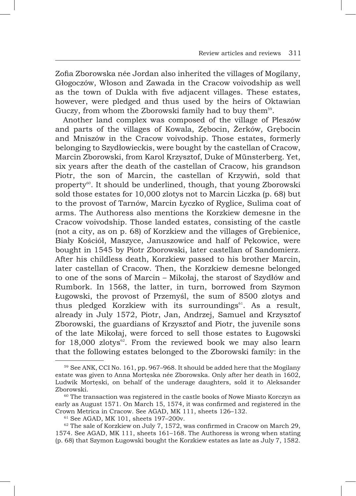Zofia Zborowska née Jordan also inherited the villages of Mogilany, Głogoczów, Włoson and Zawada in the Cracow voivodship as well as the town of Dukla with five adjacent villages. These estates, however, were pledged and thus used by the heirs of Oktawian Guczy, from whom the Zborowski family had to buy them<sup>59</sup>.

Another land complex was composed of the village of Pleszów and parts of the villages of Kowala, Zębocin, Żerków, Grębocin and Mniszów in the Cracow voivodship. Those estates, formerly belonging to Szydłowieckis, were bought by the castellan of Cracow, Marcin Zborowski, from Karol Krzysztof, Duke of Münsterberg. Yet, six years after the death of the castellan of Cracow, his grandson Piotr, the son of Marcin, the castellan of Krzywiń, sold that property<sup>60</sup>. It should be underlined, though, that young Zborowski sold those estates for 10,000 zlotys not to Marcin Liczka (p. 68) but to the provost of Tarnów, Marcin Łyczko of Ryglice, Sulima coat of arms. The Authoress also mentions the Korzkiew demesne in the Cracow voivodship. Those landed estates, consisting of the castle (not a city, as on p. 68) of Korzkiew and the villages of Grębienice, Biały Kościół, Maszyce, Januszowice and half of Pękowice, were bought in 1545 by Piotr Zborowski, later castellan of Sandomierz. After his childless death, Korzkiew passed to his brother Marcin, later castellan of Cracow. Then, the Korzkiew demesne belonged to one of the sons of Marcin – Mikołaj, the starost of Szydłów and Rumbork. In 1568, the latter, in turn, borrowed from Szymon Ługowski, the provost of Przemyśl, the sum of 8500 zlotys and thus pledged Korzkiew with its surroundings<sup>61</sup>. As a result, already in July 1572, Piotr, Jan, Andrzej, Samuel and Krzysztof Zborowski, the guardians of Krzysztof and Piotr, the juvenile sons of the late Mikołaj, were forced to sell those estates to Ługowski for 18,000 zlotys<sup>62</sup>. From the reviewed book we may also learn that the following estates belonged to the Zborowski family: in the

<sup>59</sup> See ANK, CCI No. 161, pp. 967–968. It should be added here that the Mogilany estate was given to Anna Mortęska née Zborowska. Only after her death in 1602, Ludwik Mortęski, on behalf of the underage daughters, sold it to Aleksander Zborowski.

<sup>&</sup>lt;sup>60</sup> The transaction was registered in the castle books of Nowe Miasto Korczyn as early as August 1571. On March 15, 1574, it was confirmed and registered in the Crown Metrica in Cracow. See AGAD, MK 111, sheets 126–132.

<sup>61</sup> See AGAD, MK 101, sheets 197–200v.

<sup>&</sup>lt;sup>62</sup> The sale of Korzkiew on July 7, 1572, was confirmed in Cracow on March 29, 1574. See AGAD, MK 111, sheets 161–168. The Authoress is wrong when stating (p. 68) that Szymon Ługowski bought the Korzkiew estates as late as July 7, 1582.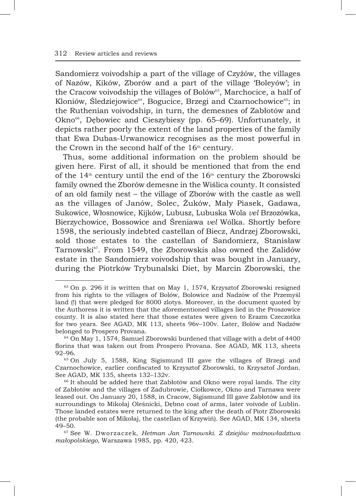Sandomierz voivodship a part of the village of Czyżów, the villages of Nazów, Kików, Zborów and a part of the village 'Boleyów'; in the Cracow voivodship the villages of Bolów $^{63}$ , Marchocice, a half of Kloniów, Śledziejowice<sup>64</sup>, Bogucice, Brzegi and Czarnochowice<sup>65</sup>; in the Ruthenian voivodship, in turn, the demesnes of Zabłotów and Okno<sup>66</sup>, Dębowiec and Cieszybiesy (pp. 65–69). Unfortunately, it depicts rather poorly the extent of the land properties of the family that Ewa Dubas-Urwanowicz recognises as the most powerful in the Crown in the second half of the  $16<sup>th</sup>$  century.

Thus, some additional information on the problem should be given here. First of all, it should be mentioned that from the end of the  $14<sup>th</sup>$  century until the end of the  $16<sup>th</sup>$  century the Zborowski family owned the Zborów demesne in the Wiślica county. It consisted of an old family nest – the village of Zborów with the castle as well as the villages of Janów, Solec, Żuków, Mały Piasek, Gadawa, Sukowice, Włosnowice, Kijków, Lubusz, Lubuska Wola *vel* Brzozówka, Bierzychowice, Bossowice and Śreniawa *vel* Wólka. Shortly before 1598, the seriously indebted castellan of Biecz, Andrzej Zborowski, sold those estates to the castellan of Sandomierz, Stanisław Tarnowski<sup>67</sup>. From 1549, the Zborowskis also owned the Zalidów estate in the Sandomierz voivodship that was bought in January, during the Piotrków Trybunalski Diet, by Marcin Zborowski, the

<sup>63</sup> On p. 296 it is written that on May 1, 1574, Krzysztof Zborowski resigned from his rights to the villages of Bolów, Bolowice and Nadzów of the Przemyśl land (!) that were pledged for 8000 zlotys. Moreover, in the document quoted by the Authoress it is written that the aforementioned villages lied in the Proszowice county. It is also stated here that those estates were given to Erazm Czeczotka for two years. See AGAD, MK 113, sheets 96v–100v. Later, Bolów and Nadzów belonged to Prospero Provana.

<sup>64</sup> On May 1, 1574, Samuel Zborowski burdened that village with a debt of 4400 florins that was taken out from Prospero Provana. See AGAD, MK 113, sheets 92–96.

<sup>65</sup> On July 5, 1588, King Sigismund III gave the villages of Brzegi and Czarnochowice, earlier confiscated to Krzysztof Zborowski, to Krzysztof Jordan. See AGAD, MK 135, sheets 132–132v.

<sup>&</sup>lt;sup>66</sup> It should be added here that Zabłotów and Okno were royal lands. The city of Zabłotów and the villages of Zadubrowie, Ciołkowce, Okno and Tarnawa were leased out. On January 20, 1588, in Cracow, Sigismund III gave Zabłotów and its surroundings to Mikołaj Oleśnicki, Dębno coat of arms, later voivode of Lublin. Those landed estates were returned to the king after the death of Piotr Zborowski (the probable son of Mikołaj, the castellan of Krzywiń). See AGAD, MK 134, sheets 49–50.

<sup>67</sup> See W. Dworzaczek, *Hetman Jan Tarnowski. Z dziejów możnowładztwa małopolskiego*, Warszawa 1985, pp. 420, 423.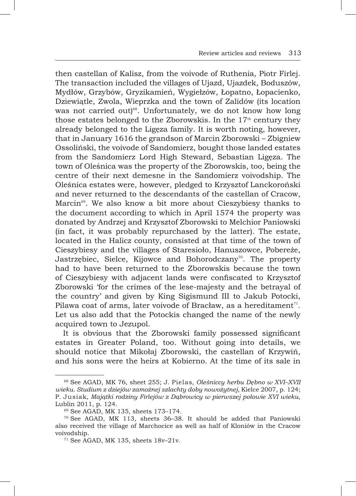then castellan of Kalisz, from the voivode of Ruthenia, Piotr Firlej. The transaction included the villages of Ujazd, Ujazdek, Boduszów, Mydłów, Grzybów, Gryzikamień, Wygiełzów, Łopatno, Łopacienko, Dziewiątle, Zwola, Wieprzka and the town of Zalidów (its location was not carried out)<sup>68</sup>. Unfortunately, we do not know how long those estates belonged to the Zborowskis. In the  $17<sup>th</sup>$  century they already belonged to the Ligęza family. It is worth noting, however, that in January 1616 the grandson of Marcin Zborowski – Zbigniew Ossoliński, the voivode of Sandomierz, bought those landed estates from the Sandomierz Lord High Steward, Sebastian Ligęza. The town of Oleśnica was the property of the Zborowskis, too, being the centre of their next demesne in the Sandomierz voivodship. The Oleśnica estates were, however, pledged to Krzysztof Lanckoroński and never returned to the descendants of the castellan of Cracow, Marcin<sup>69</sup>. We also know a bit more about Cieszybiesy thanks to the document according to which in April 1574 the property was donated by Andrzej and Krzysztof Zborowski to Melchior Paniowski (in fact, it was probably repurchased by the latter). The estate, located in the Halicz county, consisted at that time of the town of Cieszybiesy and the villages of Staresioło, Hanuszowce, Pobereże, Jastrzebiec, Sielce, Kijowce and Bohorodczany<sup>70</sup>. The property had to have been returned to the Zborowskis because the town of Cieszybiesy with adjacent lands were confiscated to Krzysztof Zborowski 'for the crimes of the lese-majesty and the betrayal of the country' and given by King Sigismund III to Jakub Potocki, Pilawa coat of arms, later voivode of Bracław, as a hereditament $^{71}$ . Let us also add that the Potockis changed the name of the newly acquired town to Jezupol.

It is obvious that the Zborowski family possessed significant estates in Greater Poland, too. Without going into details, we should notice that Mikołaj Zborowski, the castellan of Krzywiń, and his sons were the heirs at Kobierno. At the time of its sale in

<sup>68</sup> See AGAD, MK 76, sheet 255; J. Pielas, *Oleśniccy herbu Dębno w XVI–XVII wieku. Studium z dziejów zamożnej szlachty doby nowożytnej*, Kielce 2007, p. 124; P. Jusiak, *Majątki rodziny Firlejów z Dąbrowicy w pierwszej połowie XVI wieku*, Lublin 2011, p. 124.

<sup>69</sup> See AGAD, MK 135, sheets 173–174.

 $70$  See AGAD, MK 113, sheets 36–38. It should be added that Paniowski also received the village of Marchocice as well as half of Kloniów in the Cracow voivodship.

 $71$  See AGAD, MK 135, sheets  $18v-21v$ .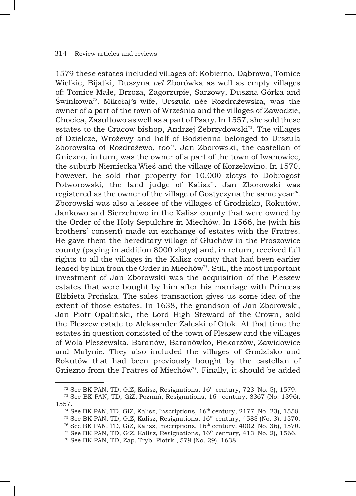1579 these estates included villages of: Kobierno, Dąbrowa, Tomice Wielkie, Bijatki, Duszyna *vel* Zborówka as well as empty villages of: Tomice Małe, Brzoza, Zagorzupie, Sarzowy, Duszna Górka and Świnkowa<sup>72</sup>. Mikołaj's wife, Urszula née Rozdrażewska, was the owner of a part of the town of Września and the villages of Zawodzie, Chocica, Zasułtowo as well as a part of Psary. In 1557, she sold these estates to the Cracow bishop, Andrzej Zebrzydowski<sup>73</sup>. The villages of Dzielcze, Wrożewy and half of Bodzienna belonged to Urszula Zborowska of Rozdrażewo, too<sup>74</sup>. Jan Zborowski, the castellan of Gniezno, in turn, was the owner of a part of the town of Iwanowice, the suburb Niemiecka Wieś and the village of Korzekwino. In 1570, however, he sold that property for 10,000 zlotys to Dobrogost Potworowski, the land judge of Kalisz<sup>75</sup>. Jan Zborowski was registered as the owner of the village of Gostyczyna the same year<sup>76</sup>. Zborowski was also a lessee of the villages of Grodzisko, Rokutów, Jankowo and Sierzchowo in the Kalisz county that were owned by the Order of the Holy Sepulchre in Miechów. In 1566, he (with his brothers' consent) made an exchange of estates with the Fratres. He gave them the hereditary village of Głuchów in the Proszowice county (paying in addition 8000 zlotys) and, in return, received full rights to all the villages in the Kalisz county that had been earlier leased by him from the Order in Miechów<sup>77</sup>. Still, the most important investment of Jan Zborowski was the acquisition of the Pleszew estates that were bought by him after his marriage with Princess Elżbieta Prońska. The sales transaction gives us some idea of the extent of those estates. In 1638, the grandson of Jan Zborowski, Jan Piotr Opaliński, the Lord High Steward of the Crown, sold the Pleszew estate to Aleksander Zaleski of Otok. At that time the estates in question consisted of the town of Pleszew and the villages of Wola Pleszewska, Baranów, Baranówko, Piekarzów, Zawidowice and Małynie. They also included the villages of Grodzisko and Rokutów that had been previously bought by the castellan of Gniezno from the Fratres of Miechów<sup>78</sup>. Finally, it should be added

 $72$  See BK PAN, TD, GiZ, Kalisz, Resignations,  $16<sup>th</sup>$  century, 723 (No. 5), 1579.

<sup>&</sup>lt;sup>73</sup> See BK PAN, TD, GiZ, Poznań, Resignations, 16<sup>th</sup> century, 8367 (No. 1396), 1557.

 $^{74}$  See BK PAN, TD, GiZ, Kalisz, Inscriptions,  $16^{th}$  century,  $2177$  (No. 23), 1558. <sup>75</sup> See BK PAN, TD, GiZ, Kalisz, Resignations,  $16<sup>th</sup>$  century, 4583 (No. 3), 1570. <sup>76</sup> See BK PAN, TD, GiZ, Kalisz, Inscriptions, 16th century, 4002 (No. 36), 1570.

<sup>&</sup>lt;sup>77</sup> See BK PAN, TD, GiZ, Kalisz, Resignations, 16<sup>th</sup> century, 413 (No. 2), 1566.

<sup>78</sup> See BK PAN, TD, Zap. Tryb. Piotrk., 579 (No. 29), 1638.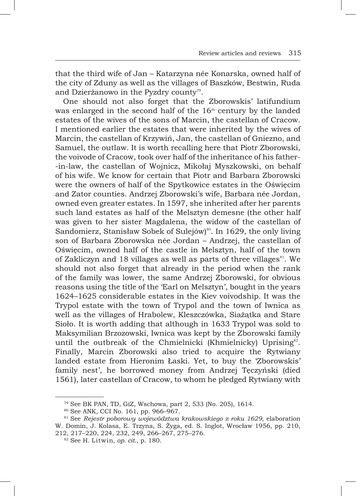that the third wife of Jan – Katarzyna née Konarska, owned half of the city of Zduny as well as the villages of Baszków, Bestwin, Ruda and Dzierżanowo in the Pyzdry county<sup>79</sup>.

One should not also forget that the Zborowskis' latifundium was enlarged in the second half of the  $16<sup>th</sup>$  century by the landed estates of the wives of the sons of Marcin, the castellan of Cracow. I mentioned earlier the estates that were inherited by the wives of Marcin, the castellan of Krzywiń, Jan, the castellan of Gniezno, and Samuel, the outlaw. It is worth recalling here that Piotr Zborowski, the voivode of Cracow, took over half of the inheritance of his father- -in-law, the castellan of Wojnicz, Mikołaj Myszkowski, on behalf of his wife. We know for certain that Piotr and Barbara Zborowski were the owners of half of the Spytkowice estates in the Oświęcim and Zator counties. Andrzej Zborowski's wife, Barbara née Jordan, owned even greater estates. In 1597, she inherited after her parents such land estates as half of the Melsztyn demesne (the other half was given to her sister Magdalena, the widow of the castellan of Sandomierz, Stanisław Sobek of Sulejów)<sup>80</sup>. In 1629, the only living son of Barbara Zborowska née Jordan – Andrzej, the castellan of Oświęcim, owned half of the castle in Melsztyn, half of the town of Zakliczyn and 18 villages as well as parts of three villages<sup>81</sup>. We should not also forget that already in the period when the rank of the family was lower, the same Andrzej Zborowski, for obvious reasons using the title of the 'Earl on Melsztyn', bought in the years 1624–1625 considerable estates in the Kiev voivodship. It was the Trypol estate with the town of Trypol and the town of Iwnica as well as the villages of Hrabolew, Kleszczówka, Siażątka and Stare Sioło. It is worth adding that although in 1633 Trypol was sold to Maksymilian Brzozowski, Iwnica was kept by the Zborowski family until the outbreak of the Chmielnicki (Khmielnicky) Uprising<sup>82</sup>. Finally, Marcin Zborowski also tried to acquire the Rytwiany landed estate from Hieronim Łaski. Yet, to buy the 'Zborowskis' family nest', he borrowed money from Andrzej Tęczyński (died 1561), later castellan of Cracow, to whom he pledged Rytwiany with

<sup>79</sup> See BK PAN, TD, GiZ, Wschowa, part 2, 533 (No. 205), 1614.

<sup>80</sup> See ANK, CCI No. 161, pp. 966–967.

<sup>81</sup> See *Rejestr poborowy województwa krakowskiego z roku 1629*, elaboration W. Domin, J. Kolasa, E. Trzyna, S. Żyga, ed. S. Inglot, Wrocław 1956, pp. 210, 212, 217–220, 224, 232, 249, 266–267, 275–276.

<sup>82</sup> See H. Litwin, *op. cit.*, p. 180.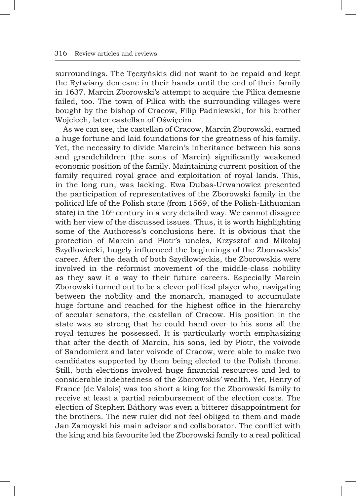surroundings. The Tęczyńskis did not want to be repaid and kept the Rytwiany demesne in their hands until the end of their family in 1637. Marcin Zborowski's attempt to acquire the Pilica demesne failed, too. The town of Pilica with the surrounding villages were bought by the bishop of Cracow, Filip Padniewski, for his brother Wojciech, later castellan of Oświęcim.

As we can see, the castellan of Cracow, Marcin Zborowski, earned a huge fortune and laid foundations for the greatness of his family. Yet, the necessity to divide Marcin's inheritance between his sons and grandchildren (the sons of Marcin) significantly weakened economic position of the family. Maintaining current position of the family required royal grace and exploitation of royal lands. This, in the long run, was lacking. Ewa Dubas-Urwanowicz presented the participation of representatives of the Zborowski family in the political life of the Polish state (from 1569, of the Polish-Lithuanian state) in the  $16<sup>th</sup>$  century in a very detailed way. We cannot disagree with her view of the discussed issues. Thus, it is worth highlighting some of the Authoress's conclusions here. It is obvious that the protection of Marcin and Piotr's uncles, Krzysztof and Mikołaj Szydłowiecki, hugely influenced the beginnings of the Zborowskis' career. After the death of both Szydłowieckis, the Zborowskis were involved in the reformist movement of the middle-class nobility as they saw it a way to their future careers. Especially Marcin Zborowski turned out to be a clever political player who, navigating between the nobility and the monarch, managed to accumulate huge fortune and reached for the highest office in the hierarchy of secular senators, the castellan of Cracow. His position in the state was so strong that he could hand over to his sons all the royal tenures he possessed. It is particularly worth emphasizing that after the death of Marcin, his sons, led by Piotr, the voivode of Sandomierz and later voivode of Cracow, were able to make two candidates supported by them being elected to the Polish throne. Still, both elections involved huge financial resources and led to considerable indebtedness of the Zborowskis' wealth. Yet, Henry of France (de Valois) was too short a king for the Zborowski family to receive at least a partial reimbursement of the election costs. The election of Stephen Báthory was even a bitterer disappointment for the brothers. The new ruler did not feel obliged to them and made Jan Zamoyski his main advisor and collaborator. The conflict with the king and his favourite led the Zborowski family to a real political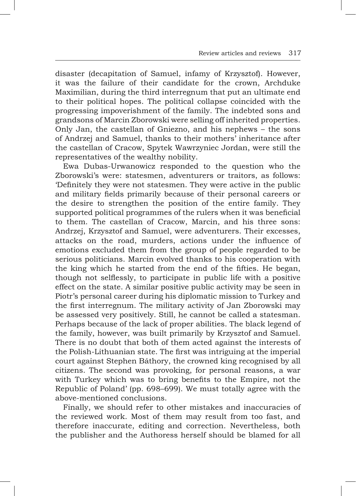disaster (decapitation of Samuel, infamy of Krzysztof). However, it was the failure of their candidate for the crown, Archduke Maximilian, during the third interregnum that put an ultimate end to their political hopes. The political collapse coincided with the progressing impoverishment of the family. The indebted sons and grandsons of Marcin Zborowski were selling off inherited properties. Only Jan, the castellan of Gniezno, and his nephews – the sons of Andrzej and Samuel, thanks to their mothers' inheritance after the castellan of Cracow, Spytek Wawrzyniec Jordan, were still the representatives of the wealthy nobility.

Ewa Dubas-Urwanowicz responded to the question who the Zborowski's were: statesmen, adventurers or traitors, as follows: 'Definitely they were not statesmen. They were active in the public and military fields primarily because of their personal careers or the desire to strengthen the position of the entire family. They supported political programmes of the rulers when it was beneficial to them. The castellan of Cracow, Marcin, and his three sons: Andrzej, Krzysztof and Samuel, were adventurers. Their excesses, attacks on the road, murders, actions under the influence of emotions excluded them from the group of people regarded to be serious politicians. Marcin evolved thanks to his cooperation with the king which he started from the end of the fifties. He began, though not selflessly, to participate in public life with a positive effect on the state. A similar positive public activity may be seen in Piotr's personal career during his diplomatic mission to Turkey and the first interregnum. The military activity of Jan Zborowski may be assessed very positively. Still, he cannot be called a statesman. Perhaps because of the lack of proper abilities. The black legend of the family, however, was built primarily by Krzysztof and Samuel. There is no doubt that both of them acted against the interests of the Polish-Lithuanian state. The first was intriguing at the imperial court against Stephen Báthory, the crowned king recognised by all citizens. The second was provoking, for personal reasons, a war with Turkey which was to bring benefits to the Empire, not the Republic of Poland' (pp. 698–699). We must totally agree with the above-mentioned conclusions.

Finally, we should refer to other mistakes and inaccuracies of the reviewed work. Most of them may result from too fast, and therefore inaccurate, editing and correction. Nevertheless, both the publisher and the Authoress herself should be blamed for all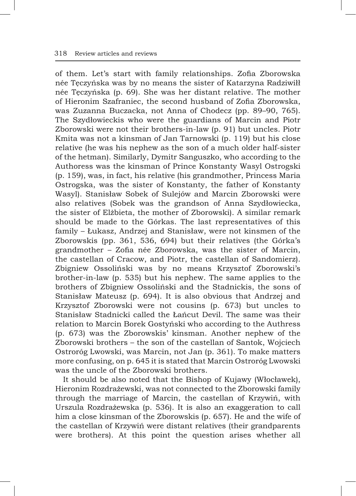of them. Let's start with family relationships. Zofia Zborowska née Tęczyńska was by no means the sister of Katarzyna Radziwiłł née Tęczyńska (p. 69). She was her distant relative. The mother of Hieronim Szafraniec, the second husband of Zofia Zborowska, was Zuzanna Buczacka, not Anna of Chodecz (pp. 89–90, 765). The Szydłowieckis who were the guardians of Marcin and Piotr Zborowski were not their brothers-in-law (p. 91) but uncles. Piotr Kmita was not a kinsman of Jan Tarnowski (p. 119) but his close relative (he was his nephew as the son of a much older half-sister of the hetman). Similarly, Dymitr Sanguszko, who according to the Authoress was the kinsman of Prince Konstanty Wasyl Ostrogski (p. 159), was, in fact, his relative (his grandmother, Princess Maria Ostrogska, was the sister of Konstanty, the father of Konstanty Wasyl). Stanisław Sobek of Sulejów and Marcin Zborowski were also relatives (Sobek was the grandson of Anna Szydłowiecka, the sister of Elżbieta, the mother of Zborowski). A similar remark should be made to the Górkas. The last representatives of this family – Łukasz, Andrzej and Stanisław, were not kinsmen of the Zborowskis (pp. 361, 536, 694) but their relatives (the Górka's grandmother – Zofia née Zborowska, was the sister of Marcin, the castellan of Cracow, and Piotr, the castellan of Sandomierz). Zbigniew Ossoliński was by no means Krzysztof Zborowski's brother-in-law (p. 535) but his nephew. The same applies to the brothers of Zbigniew Ossoliński and the Stadnickis, the sons of Stanisław Mateusz (p. 694). It is also obvious that Andrzej and Krzysztof Zborowski were not cousins (p. 673) but uncles to Stanisław Stadnicki called the Łańcut Devil. The same was their relation to Marcin Borek Gostyński who according to the Authress (p. 673) was the Zborowskis' kinsman. Another nephew of the Zborowski brothers – the son of the castellan of Santok, Wojciech Ostroróg Lwowski, was Marcin, not Jan (p. 361). To make matters more confusing, on p. 645 it is stated that Marcin Ostroróg Lwowski was the uncle of the Zborowski brothers.

It should be also noted that the Bishop of Kujawy (Włocławek), Hieronim Rozdrażewski, was not connected to the Zborowski family through the marriage of Marcin, the castellan of Krzywiń, with Urszula Rozdrażewska (p. 536). It is also an exaggeration to call him a close kinsman of the Zborowskis (p. 657). He and the wife of the castellan of Krzywiń were distant relatives (their grandparents were brothers). At this point the question arises whether all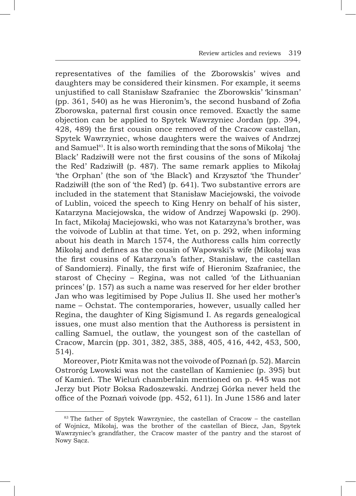representatives of the families of the Zborowskis' wives and daughters may be considered their kinsmen. For example, it seems unjustified to call Stanisław Szafraniec the Zborowskis' 'kinsman' (pp. 361, 540) as he was Hieronim's, the second husband of Zofia Zborowska, paternal first cousin once removed. Exactly the same objection can be applied to Spytek Wawrzyniec Jordan (pp. 394, 428, 489) the first cousin once removed of the Cracow castellan, Spytek Wawrzyniec, whose daughters were the waives of Andrzej and Samuel<sup>83</sup>. It is also worth reminding that the sons of Mikołaj 'the Black' Radziwiłł were not the first cousins of the sons of Mikołaj the Red' Radziwiłł (p. 487). The same remark applies to Mikołaj 'the Orphan' (the son of 'the Black') and Krzysztof 'the Thunder' Radziwiłł (the son of 'the Red') (p. 641). Two substantive errors are included in the statement that Stanisław Maciejowski, the voivode of Lublin, voiced the speech to King Henry on behalf of his sister, Katarzyna Maciejowska, the widow of Andrzej Wapowski (p. 290). In fact, Mikołaj Maciejowski, who was not Katarzyna's brother, was the voivode of Lublin at that time. Yet, on p. 292, when informing about his death in March 1574, the Authoress calls him correctly Mikołaj and defines as the cousin of Wapowski's wife (Mikołaj was the first cousins of Katarzyna's father, Stanisław, the castellan of Sandomierz). Finally, the first wife of Hieronim Szafraniec, the starost of Checiny – Regina, was not called 'of the Lithuanian princes' (p. 157) as such a name was reserved for her elder brother Jan who was legitimised by Pope Julius II. She used her mother's name – Ochstat. The contemporaries, however, usually called her Regina, the daughter of King Sigismund I. As regards genealogical issues, one must also mention that the Authoress is persistent in calling Samuel, the outlaw, the youngest son of the castellan of Cracow, Marcin (pp. 301, 382, 385, 388, 405, 416, 442, 453, 500, 514).

Moreover, Piotr Kmita was not the voivode of Poznań (p. 52). Marcin Ostroróg Lwowski was not the castellan of Kamieniec (p. 395) but of Kamień. The Wieluń chamberlain mentioned on p. 445 was not Jerzy but Piotr Boksa Radoszewski. Andrzej Górka never held the office of the Poznań voivode (pp. 452, 611). In June 1586 and later

<sup>83</sup> The father of Spytek Wawrzyniec, the castellan of Cracow – the castellan of Wojnicz, Mikołaj, was the brother of the castellan of Biecz, Jan, Spytek Wawrzyniec's grandfather, the Cracow master of the pantry and the starost of Nowy Sącz.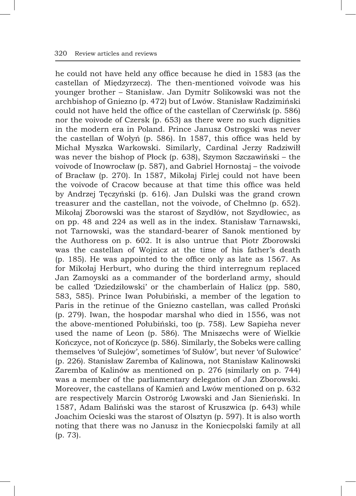he could not have held any office because he died in 1583 (as the castellan of Międzyrzecz). The then-mentioned voivode was his younger brother – Stanisław. Jan Dymitr Solikowski was not the archbishop of Gniezno (p. 472) but of Lwów. Stanisław Radzimiński could not have held the office of the castellan of Czerwińsk (p. 586) nor the voivode of Czersk (p. 653) as there were no such dignities in the modern era in Poland. Prince Janusz Ostrogski was never the castellan of Wołyń (p. 586). In 1587, this office was held by Michał Myszka Warkowski. Similarly, Cardinal Jerzy Radziwiłł was never the bishop of Płock (p. 638), Szymon Szczawiński – the voivode of Inowrocław (p. 587), and Gabriel Hornostaj – the voivode of Bracław (p. 270). In 1587, Mikołaj Firlej could not have been the voivode of Cracow because at that time this office was held by Andrzej Tęczyński (p. 616). Jan Dulski was the grand crown treasurer and the castellan, not the voivode, of Chełmno (p. 652). Mikołaj Zborowski was the starost of Szydłów, not Szydłowiec, as on pp. 48 and 224 as well as in the index. Stanisław Tarnawski, not Tarnowski, was the standard-bearer of Sanok mentioned by the Authoress on p. 602. It is also untrue that Piotr Zborowski was the castellan of Wojnicz at the time of his father's death (p. 185). He was appointed to the office only as late as 1567. As for Mikołaj Herburt, who during the third interregnum replaced Jan Zamoyski as a commander of the borderland army, should be called 'Dziedziłowski' or the chamberlain of Halicz (pp. 580, 583, 585). Prince Iwan Połubiński, a member of the legation to Paris in the retinue of the Gniezno castellan, was called Proński (p. 279). Iwan, the hospodar marshal who died in 1556, was not the above-mentioned Połubiński, too (p. 758). Lew Sapieha never used the name of Leon (p. 586). The Mniszechs were of Wielkie Kończyce, not of Kończyce (p. 586). Similarly, the Sobeks were calling themselves 'of Sulejów', sometimes 'of Sułów', but never 'of Sułowice' (p. 226). Stanisław Zaremba of Kalinowa, not Stanisław Kalinowski Zaremba of Kalinów as mentioned on p. 276 (similarly on p. 744) was a member of the parliamentary delegation of Jan Zborowski. Moreover, the castellans of Kamień and Lwów mentioned on p. 632 are respectively Marcin Ostroróg Lwowski and Jan Sienieński. In 1587, Adam Baliński was the starost of Kruszwica (p. 643) while Joachim Ocieski was the starost of Olsztyn (p. 597). It is also worth noting that there was no Janusz in the Koniecpolski family at all (p. 73).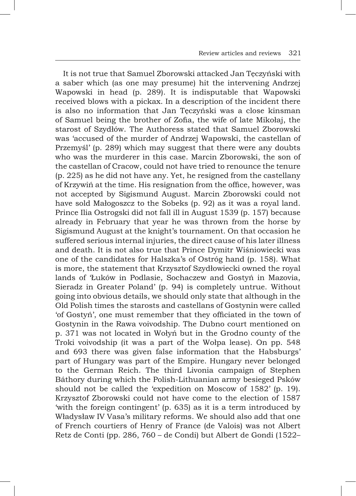It is not true that Samuel Zborowski attacked Jan Tęczyński with a saber which (as one may presume) hit the intervening Andrzej Wapowski in head (p. 289). It is indisputable that Wapowski received blows with a pickax. In a description of the incident there is also no information that Jan Tęczyński was a close kinsman of Samuel being the brother of Zofia, the wife of late Mikołaj, the starost of Szydłów. The Authoress stated that Samuel Zborowski was 'accused of the murder of Andrzej Wapowski, the castellan of Przemyśl' (p. 289) which may suggest that there were any doubts who was the murderer in this case. Marcin Zborowski, the son of the castellan of Cracow, could not have tried to renounce the tenure (p. 225) as he did not have any. Yet, he resigned from the castellany of Krzywiń at the time. His resignation from the office, however, was not accepted by Sigismund August. Marcin Zborowski could not have sold Małogoszcz to the Sobeks (p. 92) as it was a royal land. Prince Ilia Ostrogski did not fall ill in August 1539 (p. 157) because already in February that year he was thrown from the horse by Sigismund August at the knight's tournament. On that occasion he suffered serious internal injuries, the direct cause of his later illness and death. It is not also true that Prince Dymitr Wiśniowiecki was one of the candidates for Halszka's of Ostróg hand (p. 158). What is more, the statement that Krzysztof Szydłowiecki owned the royal lands of 'Łuków in Podlasie, Sochaczew and Gostyń in Mazovia, Sieradz in Greater Poland' (p. 94) is completely untrue. Without going into obvious details, we should only state that although in the Old Polish times the starosts and castellans of Gostynin were called 'of Gostyń', one must remember that they officiated in the town of Gostynin in the Rawa voivodship. The Dubno court mentioned on p. 371 was not located in Wołyń but in the Grodno county of the Troki voivodship (it was a part of the Wołpa lease). On pp. 548 and 693 there was given false information that the Habsburgs' part of Hungary was part of the Empire. Hungary never belonged to the German Reich. The third Livonia campaign of Stephen Báthory during which the Polish-Lithuanian army besieged Psków should not be called the 'expedition on Moscow of 1582' (p. 19). Krzysztof Zborowski could not have come to the election of 1587 'with the foreign contingent' (p. 635) as it is a term introduced by Władysław IV Vasa's military reforms. We should also add that one of French courtiers of Henry of France (de Valois) was not Albert Retz de Conti (pp. 286, 760 – de Condi) but Albert de Gondi (1522–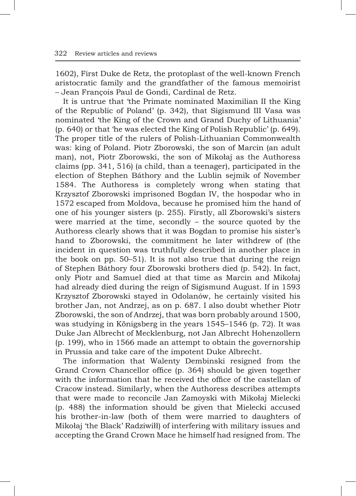1602), First Duke de Retz, the protoplast of the well-known French aristocratic family and the grandfather of the famous memoirist – Jean François Paul de Gondi, Cardinal de Retz.

It is untrue that 'the Primate nominated Maximilian II the King of the Republic of Poland' (p. 342), that Sigismund III Vasa was nominated 'the King of the Crown and Grand Duchy of Lithuania' (p. 640) or that 'he was elected the King of Polish Republic' (p. 649). The proper title of the rulers of Polish-Lithuanian Commonwealth was: king of Poland. Piotr Zborowski, the son of Marcin (an adult man), not, Piotr Zborowski, the son of Mikołaj as the Authoress claims (pp. 341, 516) (a child, than a teenager), participated in the election of Stephen Báthory and the Lublin sejmik of November 1584. The Authoress is completely wrong when stating that Krzysztof Zborowski imprisoned Bogdan IV, the hospodar who in 1572 escaped from Moldova, because he promised him the hand of one of his younger sisters (p. 255). Firstly, all Zborowski's sisters were married at the time, secondly – the source quoted by the Authoress clearly shows that it was Bogdan to promise his sister's hand to Zborowski, the commitment he later withdrew of (the incident in question was truthfully described in another place in the book on pp. 50–51). It is not also true that during the reign of Stephen Báthory four Zborowski brothers died (p. 542). In fact, only Piotr and Samuel died at that time as Marcin and Mikołaj had already died during the reign of Sigismund August. If in 1593 Krzysztof Zborowski stayed in Odolanów, he certainly visited his brother Jan, not Andrzej, as on p. 687. I also doubt whether Piotr Zborowski, the son of Andrzej, that was born probably around 1500, was studying in Königsberg in the years 1545–1546 (p. 72). It was Duke Jan Albrecht of Mecklenburg, not Jan Albrecht Hohenzollern (p. 199), who in 1566 made an attempt to obtain the governorship in Prussia and take care of the impotent Duke Albrecht.

The information that Walenty Dembinski resigned from the Grand Crown Chancellor office (p. 364) should be given together with the information that he received the office of the castellan of Cracow instead. Similarly, when the Authoress describes attempts that were made to reconcile Jan Zamoyski with Mikołaj Mielecki (p. 488) the information should be given that Mielecki accused his brother-in-law (both of them were married to daughters of Mikołaj 'the Black' Radziwiłł) of interfering with military issues and accepting the Grand Crown Mace he himself had resigned from. The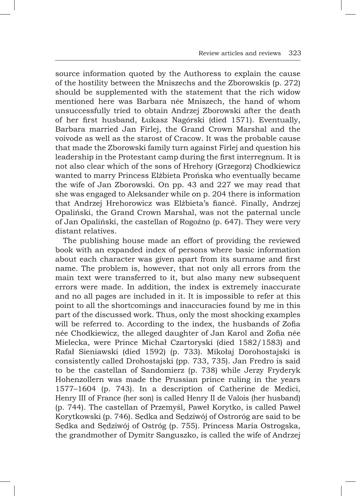source information quoted by the Authoress to explain the cause of the hostility between the Mniszechs and the Zborowskis (p. 272) should be supplemented with the statement that the rich widow mentioned here was Barbara née Mniszech, the hand of whom unsuccessfully tried to obtain Andrzej Zborowski after the death of her first husband, Łukasz Nagórski (died 1571). Eventually, Barbara married Jan Firlej, the Grand Crown Marshal and the voivode as well as the starost of Cracow. It was the probable cause that made the Zborowski family turn against Firlej and question his leadership in the Protestant camp during the first interregnum. It is not also clear which of the sons of Hrehory (Grzegorz) Chodkiewicz wanted to marry Princess Elżbieta Prońska who eventually became the wife of Jan Zborowski. On pp. 43 and 227 we may read that she was engaged to Aleksander while on p. 204 there is information that Andrzej Hrehorowicz was Elżbieta's fiancé. Finally, Andrzej Opaliński, the Grand Crown Marshal, was not the paternal uncle of Jan Opaliński, the castellan of Rogoźno (p. 647). They were very distant relatives.

The publishing house made an effort of providing the reviewed book with an expanded index of persons where basic information about each character was given apart from its surname and first name. The problem is, however, that not only all errors from the main text were transferred to it, but also many new subsequent errors were made. In addition, the index is extremely inaccurate and no all pages are included in it. It is impossible to refer at this point to all the shortcomings and inaccuracies found by me in this part of the discussed work. Thus, only the most shocking examples will be referred to. According to the index, the husbands of Zofia née Chodkiewicz, the alleged daughter of Jan Karol and Zofia née Mielecka, were Prince Michał Czartoryski (died 1582/1583) and Rafał Sieniawski (died 1592) (p. 733). Mikołaj Dorohostajski is consistently called Drohostajski (pp. 733, 735). Jan Fredro is said to be the castellan of Sandomierz (p. 738) while Jerzy Fryderyk Hohenzollern was made the Prussian prince ruling in the years 1577–1604 (p. 743). In a description of Catherine de Medici, Henry III of France (her son) is called Henry II de Valois (her husband) (p. 744). The castellan of Przemyśl, Paweł Korytko, is called Paweł Korytkowski (p. 746). Sędka and Sędziwój of Ostroróg are said to be Sędka and Sędziwój of Ostróg (p. 755). Princess Maria Ostrogska, the grandmother of Dymitr Sanguszko, is called the wife of Andrzej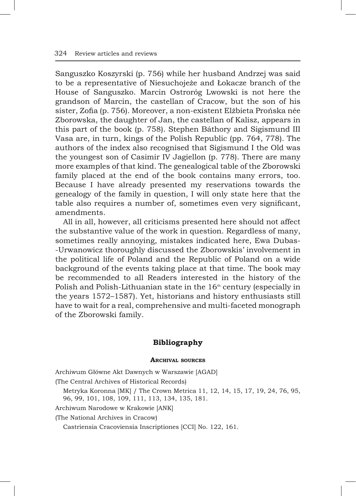Sanguszko Koszyrski (p. 756) while her husband Andrzej was said to be a representative of Niesuchojeże and Łokacze branch of the House of Sanguszko. Marcin Ostroróg Lwowski is not here the grandson of Marcin, the castellan of Cracow, but the son of his sister, Zofia (p. 756). Moreover, a non-existent Elżbieta Prońska née Zborowska, the daughter of Jan, the castellan of Kalisz, appears in this part of the book (p. 758). Stephen Báthory and Sigismund III Vasa are, in turn, kings of the Polish Republic (pp. 764, 778). The authors of the index also recognised that Sigismund I the Old was the youngest son of Casimir IV Jagiellon (p. 778). There are many more examples of that kind. The genealogical table of the Zborowski family placed at the end of the book contains many errors, too. Because I have already presented my reservations towards the genealogy of the family in question, I will only state here that the table also requires a number of, sometimes even very significant, amendments.

All in all, however, all criticisms presented here should not affect the substantive value of the work in question. Regardless of many, sometimes really annoying, mistakes indicated here, Ewa Dubas- -Urwanowicz thoroughly discussed the Zborowskis' involvement in the political life of Poland and the Republic of Poland on a wide background of the events taking place at that time. The book may be recommended to all Readers interested in the history of the Polish and Polish-Lithuanian state in the  $16<sup>th</sup>$  century (especially in the years 1572–1587). Yet, historians and history enthusiasts still have to wait for a real, comprehensive and multi-faceted monograph of the Zborowski family.

## **Bibliography**

### **Archival sources**

Archiwum Główne Akt Dawnych w Warszawie [AGAD]

(The Central Archives of Historical Records)

Metryka Koronna [MK] / The Crown Metrica 11, 12, 14, 15, 17, 19, 24, 76, 95, 96, 99, 101, 108, 109, 111, 113, 134, 135, 181.

Archiwum Narodowe w Krakowie [ANK]

(The National Archives in Cracow)

Castriensia Cracoviensia Inscriptiones [CCI] No. 122, 161.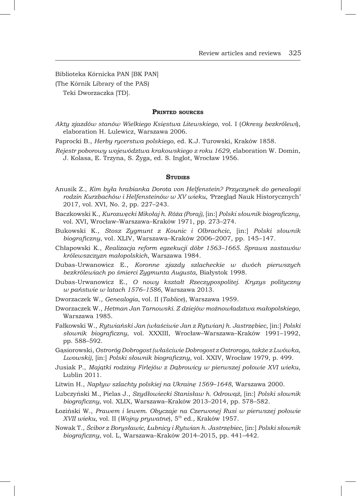Biblioteka Kórnicka PAN [BK PAN] (The Kórnik Library of the PAS) Teki Dworzaczka [TD].

#### **Printed sources**

*Akty zjazdów stanów Wielkiego Księstwa Litewskiego*, vol. I (*Okresy bezkrólewi*), elaboration H. Lulewicz, Warszawa 2006.

Paprocki B., *Herby rycerstwa polskiego*, ed. K.J. Turowski, Kraków 1858.

*Rejestr poborowy województwa krakowskiego z roku 1629*, elaboration W. Domin, J. Kolasa, E. Trzyna, S. Żyga, ed. S. Inglot, Wrocław 1956.

#### **STUDIES**

- Anusik Z., *Kim była hrabianka Dorota von Helfenstein? Przyczynek do genealogii rodzin Kurzbachów i Helfensteinów w XV wieku*, 'Przegląd Nauk Historycznych' 2017, vol. XVI, No. 2, pp. 227–243.
- Baczkowski K., *Kurozwęcki Mikołaj h. Róża (Poraj)*, [in:] *Polski słownik biograficzny*, vol. XVI, Wrocław–Warszawa–Kraków 1971, pp. 273–274.
- Bukowski K., *Stosz Zygmunt z Kounic i Olbrachcic*, [in:] *Polski słownik biograficzny*, vol. XLIV, Warszawa–Kraków 2006–2007, pp. 145–147.
- Chłapowski K., *Realizacja reform egzekucji dóbr 1563–1665. Sprawa zastawów królewszczyzn małopolskich*, Warszawa 1984.
- Dubas-Urwanowicz E., *Koronne zjazdy szlacheckie w dwóch pierwszych bezkrólewiach po śmierci Zygmunta Augusta*, Białystok 1998.
- Dubas-Urwanowicz E., *O nowy kształt Rzeczypospolitej. Kryzys polityczny w państwie w latach 1576–1586*, Warszawa 2013.
- Dworzaczek W., *Genealogia*, vol. II (*Tablice*), Warszawa 1959.
- Dworzaczek W., *Hetman Jan Tarnowski. Z dziejów możnowładztwa małopolskiego*, Warszawa 1985.
- Fałkowski W., *Rytwiański Jan (właściwie Jan z Rytwian) h. Jastrzębiec*, [in:] *Polski słownik biograficzny*, vol. XXXIII, Wrocław–Warszawa–Kraków 1991–1992, pp. 588–592.
- Gąsiorowski, *Ostroróg Dobrogost (właściwie Dobrogost z Ostroroga, także z Lwówka, Lwowski)*, [in:] *Polski słownik biograficzny*, vol. XXIV, Wrocław 1979, p. 499.
- Jusiak P., *Majątki rodziny Firlejów z Dąbrowicy w pierwszej połowie XVI wieku*, Lublin 2011.
- Litwin H., *Napływ szlachty polskiej na Ukrainę 1569–1648*, Warszawa 2000.
- Lubczyński M., Pielas J., *Szydłowiecki Stanisław h. Odrowąż*, [in:] *Polski słownik biograficzny*, vol. XLIX, Warszawa–Kraków 2013–2014, pp. 578–582.
- Łoziński W., *Prawem i lewem. Obyczaje na Czerwonej Rusi w pierwszej połowie XVII wieku*, vol. II (*Wojny prywatne*), 5th ed., Kraków 1957.
- Nowak T., *Ścibor z Borysławic, Łubnicy i Rytwian h. Jastrzębiec*, [in:] *Polski słownik biograficzny*, vol. L, Warszawa–Kraków 2014–2015, pp. 441–442.